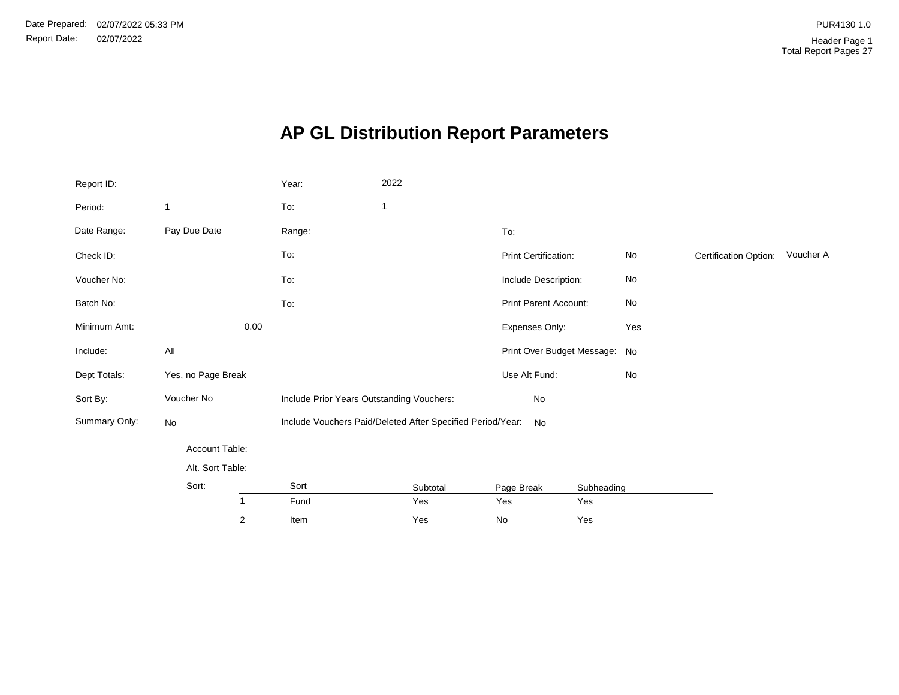# **AP GL Distribution Report Parameters**

| Report ID:    |                    | Year:                                     | 2022                                                       |                               |                              |                       |           |
|---------------|--------------------|-------------------------------------------|------------------------------------------------------------|-------------------------------|------------------------------|-----------------------|-----------|
| Period:       | 1                  | To:                                       | $\mathbf{1}$                                               |                               |                              |                       |           |
| Date Range:   | Pay Due Date       | Range:                                    |                                                            | To:                           |                              |                       |           |
| Check ID:     |                    | To:                                       |                                                            | Print Certification:          | $\operatorname{\mathsf{No}}$ | Certification Option: | Voucher A |
| Voucher No:   |                    | To:                                       |                                                            | Include Description:          | $\operatorname{\mathsf{No}}$ |                       |           |
| Batch No:     |                    | To:                                       |                                                            | Print Parent Account:         | No                           |                       |           |
| Minimum Amt:  | 0.00               |                                           |                                                            | Expenses Only:                | Yes                          |                       |           |
| Include:      | All                |                                           |                                                            | Print Over Budget Message: No |                              |                       |           |
| Dept Totals:  | Yes, no Page Break |                                           |                                                            | Use Alt Fund:                 | $\operatorname{\mathsf{No}}$ |                       |           |
| Sort By:      | Voucher No         | Include Prior Years Outstanding Vouchers: |                                                            | No                            |                              |                       |           |
| Summary Only: | No                 |                                           | Include Vouchers Paid/Deleted After Specified Period/Year: | No                            |                              |                       |           |
|               | Account Table:     |                                           |                                                            |                               |                              |                       |           |
|               | Alt. Sort Table:   |                                           |                                                            |                               |                              |                       |           |
|               | Sort:              | Sort                                      | Subtotal                                                   | Page Break                    | Subheading                   |                       |           |
|               | $\mathbf{1}$       | Fund                                      | Yes                                                        | Yes                           | Yes                          |                       |           |
|               | $\overline{2}$     | Item                                      | Yes                                                        | No                            | Yes                          |                       |           |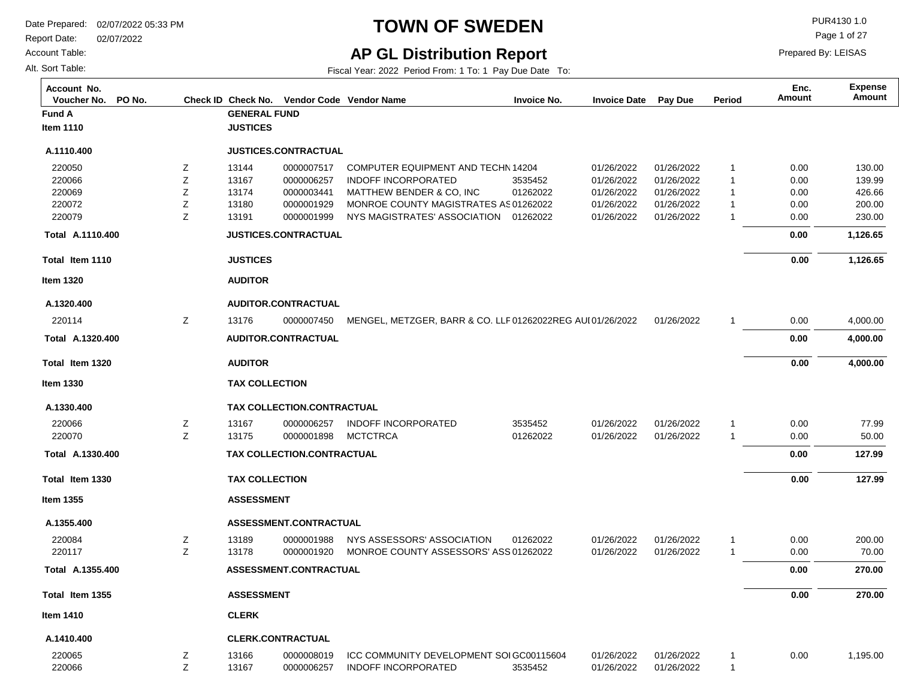Report Date: 02/07/2022

Account Table:

Alt. Sort Table:

## **TOWN OF SWEDEN** PURA130 1.0

Page 1 of 27

**AP GL Distribution Report**

Fiscal Year: 2022 Period From: 1 To: 1 Pay Due Date To:

| Account No.<br>Voucher No.<br>PO No. |   |                       |                            | Check ID Check No. Vendor Code Vendor Name               | <b>Invoice No.</b> | <b>Invoice Date</b> | <b>Pay Due</b> | Period       | Enc.<br>Amount | <b>Expense</b><br>Amount |
|--------------------------------------|---|-----------------------|----------------------------|----------------------------------------------------------|--------------------|---------------------|----------------|--------------|----------------|--------------------------|
| <b>Fund A</b>                        |   | <b>GENERAL FUND</b>   |                            |                                                          |                    |                     |                |              |                |                          |
| <b>Item 1110</b>                     |   | <b>JUSTICES</b>       |                            |                                                          |                    |                     |                |              |                |                          |
| A.1110.400                           |   |                       | JUSTICES.CONTRACTUAL       |                                                          |                    |                     |                |              |                |                          |
| 220050                               | Z | 13144                 | 0000007517                 | COMPUTER EQUIPMENT AND TECHN 14204                       |                    | 01/26/2022          | 01/26/2022     | $\mathbf{1}$ | 0.00           | 130.00                   |
| 220066                               | Ζ | 13167                 | 0000006257                 | <b>INDOFF INCORPORATED</b>                               | 3535452            | 01/26/2022          | 01/26/2022     | $\mathbf{1}$ | 0.00           | 139.99                   |
| 220069                               | Z | 13174                 | 0000003441                 | MATTHEW BENDER & CO, INC                                 | 01262022           | 01/26/2022          | 01/26/2022     | $\mathbf{1}$ | 0.00           | 426.66                   |
| 220072                               | Ζ | 13180                 | 0000001929                 | MONROE COUNTY MAGISTRATES AS 01262022                    |                    | 01/26/2022          | 01/26/2022     | $\mathbf{1}$ | 0.00           | 200.00                   |
| 220079                               | Z | 13191                 | 0000001999                 | NYS MAGISTRATES' ASSOCIATION 01262022                    |                    | 01/26/2022          | 01/26/2022     | 1            | 0.00           | 230.00                   |
| Total A.1110.400                     |   |                       | JUSTICES.CONTRACTUAL       |                                                          |                    |                     |                |              | 0.00           | 1,126.65                 |
| Total Item 1110                      |   | <b>JUSTICES</b>       |                            |                                                          |                    |                     |                |              | 0.00           | 1,126.65                 |
| <b>Item 1320</b>                     |   | <b>AUDITOR</b>        |                            |                                                          |                    |                     |                |              |                |                          |
| A.1320.400                           |   |                       | AUDITOR.CONTRACTUAL        |                                                          |                    |                     |                |              |                |                          |
| 220114                               | Z | 13176                 | 0000007450                 | MENGEL, METZGER, BARR & CO. LLF01262022REG AUI01/26/2022 |                    |                     | 01/26/2022     | -1           | 0.00           | 4,000.00                 |
| Total A.1320.400                     |   |                       | <b>AUDITOR.CONTRACTUAL</b> |                                                          |                    |                     |                |              | 0.00           | 4,000.00                 |
| Total Item 1320                      |   | <b>AUDITOR</b>        |                            |                                                          |                    |                     |                |              | 0.00           | 4,000.00                 |
| Item 1330                            |   | <b>TAX COLLECTION</b> |                            |                                                          |                    |                     |                |              |                |                          |
| A.1330.400                           |   |                       | TAX COLLECTION.CONTRACTUAL |                                                          |                    |                     |                |              |                |                          |
| 220066                               | Ζ | 13167                 | 0000006257                 | <b>INDOFF INCORPORATED</b>                               | 3535452            | 01/26/2022          | 01/26/2022     | $\mathbf{1}$ | 0.00           | 77.99                    |
| 220070                               | Z | 13175                 | 0000001898                 | <b>MCTCTRCA</b>                                          | 01262022           | 01/26/2022          | 01/26/2022     | $\mathbf{1}$ | 0.00           | 50.00                    |
| Total A.1330.400                     |   |                       | TAX COLLECTION.CONTRACTUAL |                                                          |                    |                     |                |              | 0.00           | 127.99                   |
| Total Item 1330                      |   | <b>TAX COLLECTION</b> |                            |                                                          |                    |                     |                |              | 0.00           | 127.99                   |
| <b>Item 1355</b>                     |   | <b>ASSESSMENT</b>     |                            |                                                          |                    |                     |                |              |                |                          |
| A.1355.400                           |   |                       | ASSESSMENT.CONTRACTUAL     |                                                          |                    |                     |                |              |                |                          |
| 220084                               | Z | 13189                 | 0000001988                 | NYS ASSESSORS' ASSOCIATION                               | 01262022           | 01/26/2022          | 01/26/2022     | 1            | 0.00           | 200.00                   |
| 220117                               | Z | 13178                 | 0000001920                 | MONROE COUNTY ASSESSORS' ASS 01262022                    |                    | 01/26/2022          | 01/26/2022     | $\mathbf{1}$ | 0.00           | 70.00                    |
| Total A.1355.400                     |   |                       | ASSESSMENT.CONTRACTUAL     |                                                          |                    |                     |                |              | 0.00           | 270.00                   |
| Total Item 1355                      |   | <b>ASSESSMENT</b>     |                            |                                                          |                    |                     |                |              | 0.00           | 270.00                   |
| <b>Item 1410</b>                     |   | <b>CLERK</b>          |                            |                                                          |                    |                     |                |              |                |                          |
| A.1410.400                           |   |                       | <b>CLERK.CONTRACTUAL</b>   |                                                          |                    |                     |                |              |                |                          |
| 220065                               | Z | 13166                 | 0000008019                 | ICC COMMUNITY DEVELOPMENT SOI GC00115604                 |                    | 01/26/2022          | 01/26/2022     | 1            | 0.00           | 1,195.00                 |
| 220066                               | Ζ | 13167                 | 0000006257                 | <b>INDOFF INCORPORATED</b>                               | 3535452            | 01/26/2022          | 01/26/2022     | 1            |                |                          |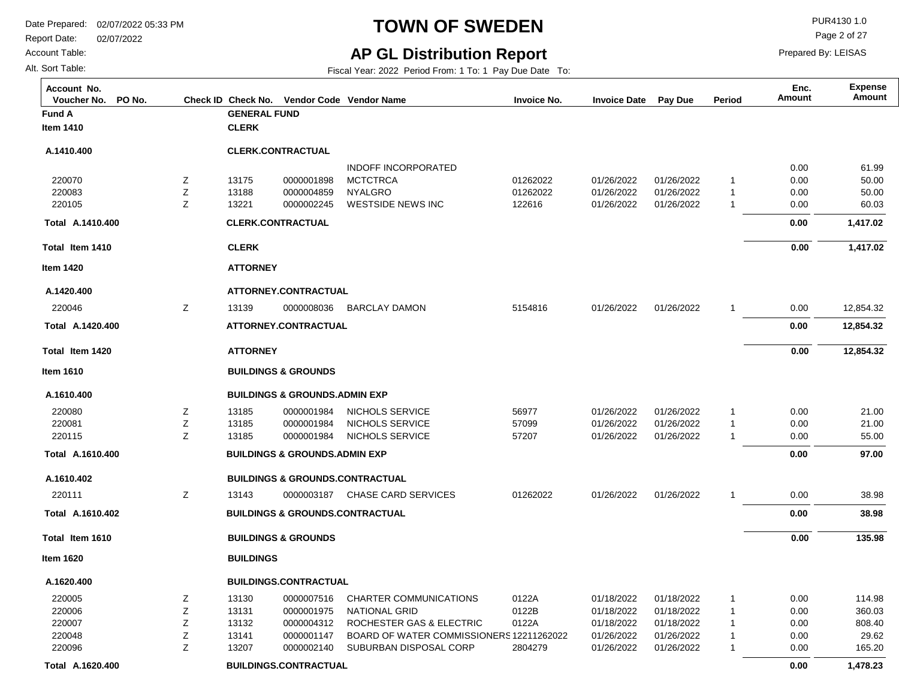Report Date: 02/07/2022

#### Account Table:

Alt. Sort Table:

## **TOWN OF SWEDEN** PUR4130 1.0

Page 2 of 27

Prepared By: LEISAS

### **AP GL Distribution Report**

| Account No.<br>PO No.<br>Voucher No. |   |                          |                                          | Check ID Check No. Vendor Code Vendor Name | <b>Invoice No.</b> | <b>Invoice Date</b> | Pay Due    | Period         | Enc.<br><b>Amount</b> | <b>Expense</b><br>Amount |
|--------------------------------------|---|--------------------------|------------------------------------------|--------------------------------------------|--------------------|---------------------|------------|----------------|-----------------------|--------------------------|
| Fund A                               |   | <b>GENERAL FUND</b>      |                                          |                                            |                    |                     |            |                |                       |                          |
| <b>Item 1410</b>                     |   | <b>CLERK</b>             |                                          |                                            |                    |                     |            |                |                       |                          |
| A.1410.400                           |   | <b>CLERK.CONTRACTUAL</b> |                                          |                                            |                    |                     |            |                |                       |                          |
|                                      |   |                          |                                          | <b>INDOFF INCORPORATED</b>                 |                    |                     |            |                | 0.00                  | 61.99                    |
| 220070                               | Ζ | 13175                    | 0000001898                               | <b>MCTCTRCA</b>                            | 01262022           | 01/26/2022          | 01/26/2022 | $\mathbf{1}$   | 0.00                  | 50.00                    |
| 220083                               | Z | 13188                    | 0000004859                               | <b>NYALGRO</b>                             | 01262022           | 01/26/2022          | 01/26/2022 | $\mathbf{1}$   | 0.00                  | 50.00                    |
| 220105                               | Z | 13221                    | 0000002245                               | <b>WESTSIDE NEWS INC</b>                   | 122616             | 01/26/2022          | 01/26/2022 | $\mathbf{1}$   | 0.00                  | 60.03                    |
| Total A.1410.400                     |   | <b>CLERK.CONTRACTUAL</b> |                                          |                                            |                    |                     |            |                | 0.00                  | 1,417.02                 |
| Total Item 1410                      |   | <b>CLERK</b>             |                                          |                                            |                    |                     |            |                | 0.00                  | 1,417.02                 |
| <b>Item 1420</b>                     |   | <b>ATTORNEY</b>          |                                          |                                            |                    |                     |            |                |                       |                          |
| A.1420.400                           |   |                          | ATTORNEY.CONTRACTUAL                     |                                            |                    |                     |            |                |                       |                          |
| 220046                               | Z | 13139                    | 0000008036                               | <b>BARCLAY DAMON</b>                       | 5154816            | 01/26/2022          | 01/26/2022 | $\mathbf{1}$   | 0.00                  | 12,854.32                |
| Total A.1420.400                     |   |                          | ATTORNEY.CONTRACTUAL                     |                                            |                    |                     |            |                | 0.00                  | 12,854.32                |
| Total Item 1420                      |   | <b>ATTORNEY</b>          |                                          |                                            |                    |                     |            |                | 0.00                  | 12,854.32                |
| Item 1610                            |   |                          | <b>BUILDINGS &amp; GROUNDS</b>           |                                            |                    |                     |            |                |                       |                          |
| A.1610.400                           |   |                          | <b>BUILDINGS &amp; GROUNDS.ADMIN EXP</b> |                                            |                    |                     |            |                |                       |                          |
| 220080                               | Ζ | 13185                    | 0000001984                               | NICHOLS SERVICE                            | 56977              | 01/26/2022          | 01/26/2022 | $\mathbf{1}$   | 0.00                  | 21.00                    |
| 220081                               | Ζ | 13185                    | 0000001984                               | NICHOLS SERVICE                            | 57099              | 01/26/2022          | 01/26/2022 | $\mathbf{1}$   | 0.00                  | 21.00                    |
| 220115                               | Ζ | 13185                    | 0000001984                               | NICHOLS SERVICE                            | 57207              | 01/26/2022          | 01/26/2022 | $\mathbf{1}$   | 0.00                  | 55.00                    |
| Total A.1610.400                     |   |                          | <b>BUILDINGS &amp; GROUNDS.ADMIN EXP</b> |                                            |                    |                     |            |                | 0.00                  | 97.00                    |
| A.1610.402                           |   |                          |                                          | <b>BUILDINGS &amp; GROUNDS.CONTRACTUAL</b> |                    |                     |            |                |                       |                          |
| 220111                               | Z | 13143                    | 0000003187                               | <b>CHASE CARD SERVICES</b>                 | 01262022           | 01/26/2022          | 01/26/2022 | $\mathbf{1}$   | 0.00                  | 38.98                    |
| Total A.1610.402                     |   |                          |                                          | <b>BUILDINGS &amp; GROUNDS.CONTRACTUAL</b> |                    |                     |            |                | 0.00                  | 38.98                    |
| Total Item 1610                      |   |                          | <b>BUILDINGS &amp; GROUNDS</b>           |                                            |                    |                     |            |                | 0.00                  | 135.98                   |
| ltem 1620                            |   | <b>BUILDINGS</b>         |                                          |                                            |                    |                     |            |                |                       |                          |
| A.1620.400                           |   |                          | <b>BUILDINGS.CONTRACTUAL</b>             |                                            |                    |                     |            |                |                       |                          |
| 220005                               | Ζ | 13130                    | 0000007516                               | CHARTER COMMUNICATIONS                     | 0122A              | 01/18/2022          | 01/18/2022 | $\mathbf{1}$   | 0.00                  | 114.98                   |
| 220006                               | Z | 13131                    | 0000001975                               | <b>NATIONAL GRID</b>                       | 0122B              | 01/18/2022          | 01/18/2022 | $\mathbf{1}$   | 0.00                  | 360.03                   |
| 220007                               | Ζ | 13132                    | 0000004312                               | ROCHESTER GAS & ELECTRIC                   | 0122A              | 01/18/2022          | 01/18/2022 | $\mathbf{1}$   | 0.00                  | 808.40                   |
| 220048                               | Ζ | 13141                    | 0000001147                               | BOARD OF WATER COMMISSIONERS 12211262022   |                    | 01/26/2022          | 01/26/2022 | $\mathbf{1}$   | 0.00                  | 29.62                    |
| 220096                               | Z | 13207                    | 0000002140                               | SUBURBAN DISPOSAL CORP                     | 2804279            | 01/26/2022          | 01/26/2022 | $\overline{1}$ | 0.00                  | 165.20                   |
| Total A.1620.400                     |   |                          | <b>BUILDINGS.CONTRACTUAL</b>             |                                            |                    |                     |            |                | 0.00                  | 1,478.23                 |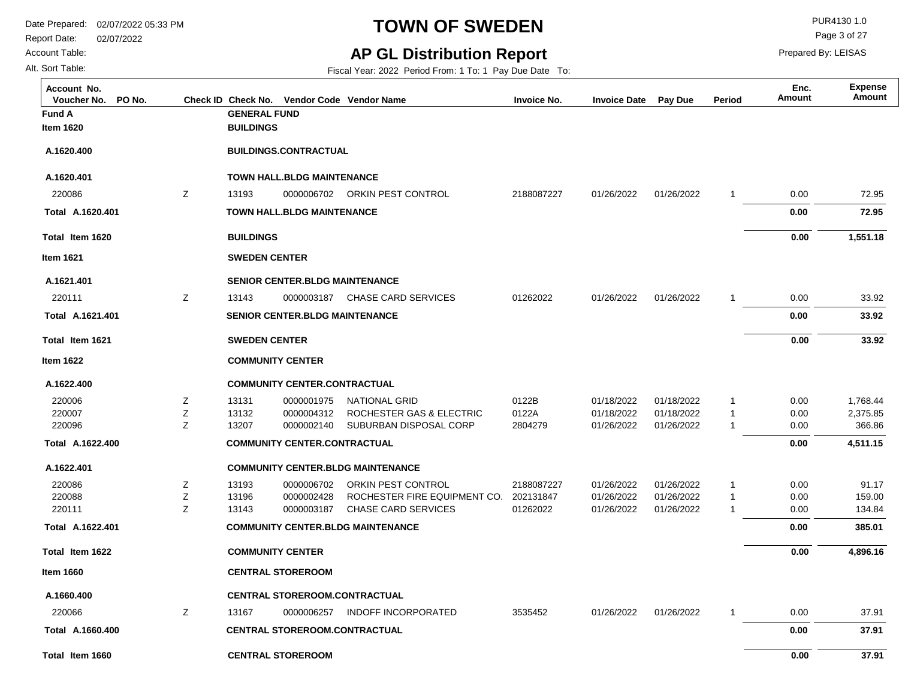Account Table:

Alt. Sort Table:

## **TOWN OF SWEDEN** PUR4130 1.0

Page 3 of 27

Prepared By: LEISAS

### **AP GL Distribution Report**

| Account No.<br>Voucher No.<br>PO No. |   |                         |                                       | Check ID Check No. Vendor Code Vendor Name | <b>Invoice No.</b> | <b>Invoice Date</b> | Pay Due    | Period       | Enc.<br>Amount | <b>Expense</b><br>Amount |
|--------------------------------------|---|-------------------------|---------------------------------------|--------------------------------------------|--------------------|---------------------|------------|--------------|----------------|--------------------------|
| Fund A                               |   | <b>GENERAL FUND</b>     |                                       |                                            |                    |                     |            |              |                |                          |
| Item 1620                            |   | <b>BUILDINGS</b>        |                                       |                                            |                    |                     |            |              |                |                          |
| A.1620.400                           |   |                         | <b>BUILDINGS.CONTRACTUAL</b>          |                                            |                    |                     |            |              |                |                          |
| A.1620.401                           |   |                         | <b>TOWN HALL, BLDG MAINTENANCE</b>    |                                            |                    |                     |            |              |                |                          |
| 220086                               | Z | 13193                   | 0000006702                            | ORKIN PEST CONTROL                         | 2188087227         | 01/26/2022          | 01/26/2022 | 1            | 0.00           | 72.95                    |
| Total A.1620.401                     |   |                         | <b>TOWN HALL BLDG MAINTENANCE</b>     |                                            |                    |                     |            |              | 0.00           | 72.95                    |
| Total Item 1620                      |   | <b>BUILDINGS</b>        |                                       |                                            |                    |                     |            |              | 0.00           | 1,551.18                 |
| <b>Item 1621</b>                     |   | <b>SWEDEN CENTER</b>    |                                       |                                            |                    |                     |            |              |                |                          |
| A.1621.401                           |   |                         | <b>SENIOR CENTER.BLDG MAINTENANCE</b> |                                            |                    |                     |            |              |                |                          |
| 220111                               | Z | 13143                   | 0000003187                            | <b>CHASE CARD SERVICES</b>                 | 01262022           | 01/26/2022          | 01/26/2022 | 1            | 0.00           | 33.92                    |
| Total A.1621.401                     |   |                         | <b>SENIOR CENTER.BLDG MAINTENANCE</b> |                                            |                    |                     |            |              | 0.00           | 33.92                    |
| Total Item 1621                      |   | <b>SWEDEN CENTER</b>    |                                       |                                            |                    |                     |            |              | 0.00           | 33.92                    |
| Item 1622                            |   | <b>COMMUNITY CENTER</b> |                                       |                                            |                    |                     |            |              |                |                          |
| A.1622.400                           |   |                         | <b>COMMUNITY CENTER.CONTRACTUAL</b>   |                                            |                    |                     |            |              |                |                          |
| 220006                               | Ζ | 13131                   | 0000001975                            | <b>NATIONAL GRID</b>                       | 0122B              | 01/18/2022          | 01/18/2022 | 1            | 0.00           | 1,768.44                 |
| 220007                               | Z | 13132                   | 0000004312                            | ROCHESTER GAS & ELECTRIC                   | 0122A              | 01/18/2022          | 01/18/2022 | $\mathbf{1}$ | 0.00           | 2,375.85                 |
| 220096                               | Z | 13207                   | 0000002140                            | SUBURBAN DISPOSAL CORP                     | 2804279            | 01/26/2022          | 01/26/2022 | 1            | 0.00           | 366.86                   |
| Total A.1622.400                     |   |                         | <b>COMMUNITY CENTER.CONTRACTUAL</b>   |                                            |                    |                     |            |              | 0.00           | 4,511.15                 |
| A.1622.401                           |   |                         |                                       | <b>COMMUNITY CENTER.BLDG MAINTENANCE</b>   |                    |                     |            |              |                |                          |
| 220086                               | Z | 13193                   | 0000006702                            | ORKIN PEST CONTROL                         | 2188087227         | 01/26/2022          | 01/26/2022 | 1            | 0.00           | 91.17                    |
| 220088                               | Z | 13196                   | 0000002428                            | ROCHESTER FIRE EQUIPMENT CO.               | 202131847          | 01/26/2022          | 01/26/2022 | $\mathbf{1}$ | 0.00           | 159.00                   |
| 220111                               | Z | 13143                   | 0000003187                            | <b>CHASE CARD SERVICES</b>                 | 01262022           | 01/26/2022          | 01/26/2022 | $\mathbf{1}$ | 0.00           | 134.84                   |
| Total A.1622.401                     |   |                         |                                       | <b>COMMUNITY CENTER.BLDG MAINTENANCE</b>   |                    |                     |            |              | 0.00           | 385.01                   |
| Total Item 1622                      |   | <b>COMMUNITY CENTER</b> |                                       |                                            |                    |                     |            |              | 0.00           | 4,896.16                 |
| Item 1660                            |   |                         | <b>CENTRAL STOREROOM</b>              |                                            |                    |                     |            |              |                |                          |
| A.1660.400                           |   |                         |                                       | CENTRAL STOREROOM.CONTRACTUAL              |                    |                     |            |              |                |                          |
| 220066                               | Z | 13167                   | 0000006257                            | <b>INDOFF INCORPORATED</b>                 | 3535452            | 01/26/2022          | 01/26/2022 | $\mathbf{1}$ | 0.00           | 37.91                    |
| Total A.1660.400                     |   |                         |                                       | <b>CENTRAL STOREROOM.CONTRACTUAL</b>       |                    |                     |            |              | 0.00           | 37.91                    |
| Total Item 1660                      |   |                         | <b>CENTRAL STOREROOM</b>              |                                            |                    |                     |            |              | 0.00           | 37.91                    |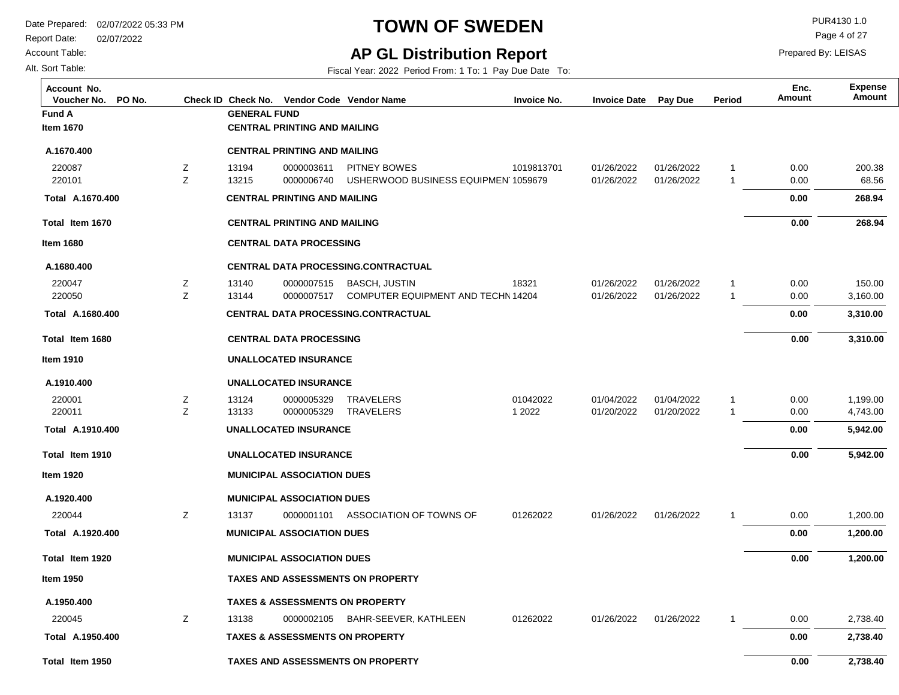Report Date: 02/07/2022

Account Table:

Alt. Sort Table:

## **TOWN OF SWEDEN** PUR4130 1.0

Page 4 of 27

Prepared By: LEISAS

### **AP GL Distribution Report**

| Account No.<br>PO No.<br>Voucher No. |   | Check ID Check No.  |                                            | Vendor Code Vendor Name                    | <b>Invoice No.</b> | <b>Invoice Date</b> | Pay Due    | Period       | Enc.<br><b>Amount</b> | <b>Expense</b><br>Amount |
|--------------------------------------|---|---------------------|--------------------------------------------|--------------------------------------------|--------------------|---------------------|------------|--------------|-----------------------|--------------------------|
| <b>Fund A</b>                        |   | <b>GENERAL FUND</b> |                                            |                                            |                    |                     |            |              |                       |                          |
| <b>Item 1670</b>                     |   |                     | <b>CENTRAL PRINTING AND MAILING</b>        |                                            |                    |                     |            |              |                       |                          |
| A.1670.400                           |   |                     | <b>CENTRAL PRINTING AND MAILING</b>        |                                            |                    |                     |            |              |                       |                          |
| 220087                               | Ζ | 13194               | 0000003611                                 | <b>PITNEY BOWES</b>                        | 1019813701         | 01/26/2022          | 01/26/2022 | -1           | 0.00                  | 200.38                   |
| 220101                               | Z | 13215               | 0000006740                                 | USHERWOOD BUSINESS EQUIPMEN 1059679        |                    | 01/26/2022          | 01/26/2022 | -1           | 0.00                  | 68.56                    |
| Total A.1670.400                     |   |                     | <b>CENTRAL PRINTING AND MAILING</b>        |                                            |                    |                     |            |              | 0.00                  | 268.94                   |
| Total Item 1670                      |   |                     | <b>CENTRAL PRINTING AND MAILING</b>        |                                            |                    |                     |            |              | 0.00                  | 268.94                   |
| <b>Item 1680</b>                     |   |                     | <b>CENTRAL DATA PROCESSING</b>             |                                            |                    |                     |            |              |                       |                          |
| A.1680.400                           |   |                     |                                            | <b>CENTRAL DATA PROCESSING.CONTRACTUAL</b> |                    |                     |            |              |                       |                          |
| 220047                               | z | 13140               | 0000007515                                 | <b>BASCH, JUSTIN</b>                       | 18321              | 01/26/2022          | 01/26/2022 | $\mathbf{1}$ | 0.00                  | 150.00                   |
| 220050                               | Z | 13144               | 0000007517                                 | COMPUTER EQUIPMENT AND TECHN 14204         |                    | 01/26/2022          | 01/26/2022 | $\mathbf{1}$ | 0.00                  | 3,160.00                 |
| Total A.1680.400                     |   |                     |                                            | <b>CENTRAL DATA PROCESSING.CONTRACTUAL</b> |                    |                     |            |              | 0.00                  | 3,310.00                 |
| Total Item 1680                      |   |                     | <b>CENTRAL DATA PROCESSING</b>             |                                            |                    |                     |            |              | 0.00                  | 3,310.00                 |
| <b>Item 1910</b>                     |   |                     | <b>UNALLOCATED INSURANCE</b>               |                                            |                    |                     |            |              |                       |                          |
| A.1910.400                           |   |                     | <b>UNALLOCATED INSURANCE</b>               |                                            |                    |                     |            |              |                       |                          |
| 220001                               | z | 13124               | 0000005329                                 | <b>TRAVELERS</b>                           | 01042022           | 01/04/2022          | 01/04/2022 | $\mathbf{1}$ | 0.00                  | 1,199.00                 |
| 220011                               | Ζ | 13133               | 0000005329                                 | <b>TRAVELERS</b>                           | 1 2022             | 01/20/2022          | 01/20/2022 | -1           | 0.00                  | 4,743.00                 |
| Total A.1910.400                     |   |                     | <b>UNALLOCATED INSURANCE</b>               |                                            |                    |                     |            |              | 0.00                  | 5,942.00                 |
| Total Item 1910                      |   |                     | <b>UNALLOCATED INSURANCE</b>               |                                            |                    |                     |            |              | 0.00                  | 5,942.00                 |
| <b>Item 1920</b>                     |   |                     | <b>MUNICIPAL ASSOCIATION DUES</b>          |                                            |                    |                     |            |              |                       |                          |
| A.1920.400                           |   |                     | <b>MUNICIPAL ASSOCIATION DUES</b>          |                                            |                    |                     |            |              |                       |                          |
| 220044                               | Z | 13137               | 0000001101                                 | ASSOCIATION OF TOWNS OF                    | 01262022           | 01/26/2022          | 01/26/2022 | 1            | 0.00                  | 1,200.00                 |
| Total A.1920.400                     |   |                     | <b>MUNICIPAL ASSOCIATION DUES</b>          |                                            |                    |                     |            |              | 0.00                  | 1,200.00                 |
| Total Item 1920                      |   |                     | <b>MUNICIPAL ASSOCIATION DUES</b>          |                                            |                    |                     |            |              | 0.00                  | 1,200.00                 |
| <b>Item 1950</b>                     |   |                     |                                            | <b>TAXES AND ASSESSMENTS ON PROPERTY</b>   |                    |                     |            |              |                       |                          |
| A.1950.400                           |   |                     |                                            | <b>TAXES &amp; ASSESSMENTS ON PROPERTY</b> |                    |                     |            |              |                       |                          |
| 220045                               | Z | 13138               | 0000002105                                 | BAHR-SEEVER, KATHLEEN                      | 01262022           | 01/26/2022          | 01/26/2022 | $\mathbf{1}$ | 0.00                  | 2,738.40                 |
| Total A.1950.400                     |   |                     | <b>TAXES &amp; ASSESSMENTS ON PROPERTY</b> |                                            |                    |                     |            |              | 0.00                  | 2,738.40                 |
| Total Item 1950                      |   |                     |                                            | <b>TAXES AND ASSESSMENTS ON PROPERTY</b>   |                    |                     |            |              | 0.00                  | 2,738.40                 |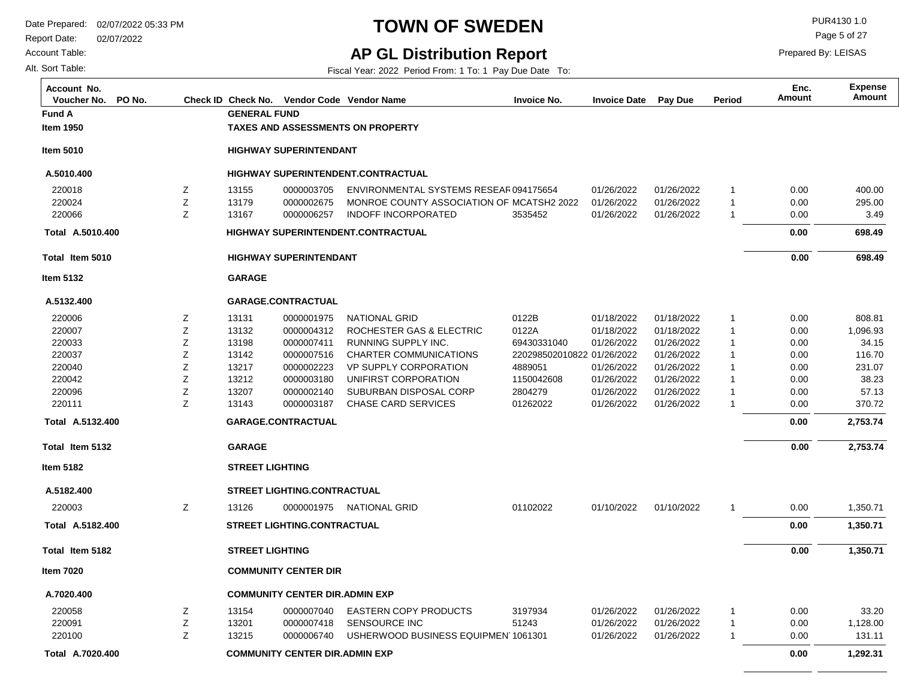Report Date: 02/07/2022

Account Table:

Alt. Sort Table:

## **TOWN OF SWEDEN** PUR4130 1.0

Page 5 of 27

Prepared By: LEISAS

### **AP GL Distribution Report**

| Account No.<br>PO No.<br>Voucher No. |   |                        |                                       | Check ID Check No. Vendor Code Vendor Name | <b>Invoice No.</b>         | <b>Invoice Date</b> | Pay Due    | Period         | Enc.<br><b>Amount</b> | <b>Expense</b><br><b>Amount</b> |
|--------------------------------------|---|------------------------|---------------------------------------|--------------------------------------------|----------------------------|---------------------|------------|----------------|-----------------------|---------------------------------|
| Fund A                               |   | <b>GENERAL FUND</b>    |                                       |                                            |                            |                     |            |                |                       |                                 |
| <b>Item 1950</b>                     |   |                        |                                       | <b>TAXES AND ASSESSMENTS ON PROPERTY</b>   |                            |                     |            |                |                       |                                 |
| <b>Item 5010</b>                     |   |                        | <b>HIGHWAY SUPERINTENDANT</b>         |                                            |                            |                     |            |                |                       |                                 |
| A.5010.400                           |   |                        |                                       | <b>HIGHWAY SUPERINTENDENT.CONTRACTUAL</b>  |                            |                     |            |                |                       |                                 |
| 220018                               | Ζ | 13155                  | 0000003705                            | ENVIRONMENTAL SYSTEMS RESEAR094175654      |                            | 01/26/2022          | 01/26/2022 | $\overline{1}$ | 0.00                  | 400.00                          |
| 220024                               | Z | 13179                  | 0000002675                            | MONROE COUNTY ASSOCIATION OF MCATSH2 2022  |                            | 01/26/2022          | 01/26/2022 | $\mathbf{1}$   | 0.00                  | 295.00                          |
| 220066                               | Z | 13167                  | 0000006257                            | <b>INDOFF INCORPORATED</b>                 | 3535452                    | 01/26/2022          | 01/26/2022 | $\overline{1}$ | 0.00                  | 3.49                            |
| Total A.5010.400                     |   |                        |                                       | <b>HIGHWAY SUPERINTENDENT.CONTRACTUAL</b>  |                            |                     |            |                | 0.00                  | 698.49                          |
| Total Item 5010                      |   |                        | <b>HIGHWAY SUPERINTENDANT</b>         |                                            |                            |                     |            |                | 0.00                  | 698.49                          |
| <b>Item 5132</b>                     |   | <b>GARAGE</b>          |                                       |                                            |                            |                     |            |                |                       |                                 |
| A.5132.400                           |   |                        | <b>GARAGE.CONTRACTUAL</b>             |                                            |                            |                     |            |                |                       |                                 |
| 220006                               | Ζ | 13131                  | 0000001975                            | <b>NATIONAL GRID</b>                       | 0122B                      | 01/18/2022          | 01/18/2022 | $\mathbf 1$    | 0.00                  | 808.81                          |
| 220007                               | Z | 13132                  | 0000004312                            | ROCHESTER GAS & ELECTRIC                   | 0122A                      | 01/18/2022          | 01/18/2022 | $\overline{1}$ | 0.00                  | 1,096.93                        |
| 220033                               | Z | 13198                  | 0000007411                            | RUNNING SUPPLY INC.                        | 69430331040                | 01/26/2022          | 01/26/2022 | $\overline{1}$ | 0.00                  | 34.15                           |
| 220037                               | Ζ | 13142                  | 0000007516                            | CHARTER COMMUNICATIONS                     | 220298502010822 01/26/2022 |                     | 01/26/2022 | $\overline{1}$ | 0.00                  | 116.70                          |
| 220040                               | Ζ | 13217                  | 0000002223                            | <b>VP SUPPLY CORPORATION</b>               | 4889051                    | 01/26/2022          | 01/26/2022 | $\overline{1}$ | 0.00                  | 231.07                          |
| 220042                               | Z | 13212                  | 0000003180                            | UNIFIRST CORPORATION                       | 1150042608                 | 01/26/2022          | 01/26/2022 | -1             | 0.00                  | 38.23                           |
| 220096                               | Z | 13207                  | 0000002140                            | SUBURBAN DISPOSAL CORP                     | 2804279                    | 01/26/2022          | 01/26/2022 | $\overline{1}$ | 0.00                  | 57.13                           |
| 220111                               | Z | 13143                  | 0000003187                            | <b>CHASE CARD SERVICES</b>                 | 01262022                   | 01/26/2022          | 01/26/2022 | $\overline{1}$ | 0.00                  | 370.72                          |
| Total A.5132.400                     |   |                        | <b>GARAGE.CONTRACTUAL</b>             |                                            |                            |                     |            |                | 0.00                  | 2,753.74                        |
| Total Item 5132                      |   | <b>GARAGE</b>          |                                       |                                            |                            |                     |            |                | 0.00                  | 2,753.74                        |
| <b>Item 5182</b>                     |   | <b>STREET LIGHTING</b> |                                       |                                            |                            |                     |            |                |                       |                                 |
| A.5182.400                           |   |                        | <b>STREET LIGHTING.CONTRACTUAL</b>    |                                            |                            |                     |            |                |                       |                                 |
| 220003                               | Ζ | 13126                  |                                       | 0000001975 NATIONAL GRID                   | 01102022                   | 01/10/2022          | 01/10/2022 | -1             | 0.00                  | 1,350.71                        |
| Total A.5182.400                     |   |                        | <b>STREET LIGHTING.CONTRACTUAL</b>    |                                            |                            |                     |            |                | 0.00                  | 1,350.71                        |
| Total Item 5182                      |   | <b>STREET LIGHTING</b> |                                       |                                            |                            |                     |            |                | 0.00                  | 1,350.71                        |
| <b>Item 7020</b>                     |   |                        | <b>COMMUNITY CENTER DIR</b>           |                                            |                            |                     |            |                |                       |                                 |
| A.7020.400                           |   |                        | <b>COMMUNITY CENTER DIR.ADMIN EXP</b> |                                            |                            |                     |            |                |                       |                                 |
| 220058                               | Ζ | 13154                  | 0000007040                            | <b>EASTERN COPY PRODUCTS</b>               | 3197934                    | 01/26/2022          | 01/26/2022 | $\mathbf{1}$   | 0.00                  | 33.20                           |
| 220091                               | Ζ | 13201                  | 0000007418                            | <b>SENSOURCE INC</b>                       | 51243                      | 01/26/2022          | 01/26/2022 | $\overline{1}$ | 0.00                  | 1,128.00                        |
| 220100                               | Z | 13215                  | 0000006740                            | USHERWOOD BUSINESS EQUIPMEN 1061301        |                            | 01/26/2022          | 01/26/2022 | $\overline{1}$ | 0.00                  | 131.11                          |
| Total A.7020.400                     |   |                        | <b>COMMUNITY CENTER DIR.ADMIN EXP</b> |                                            |                            |                     |            |                | 0.00                  | 1,292.31                        |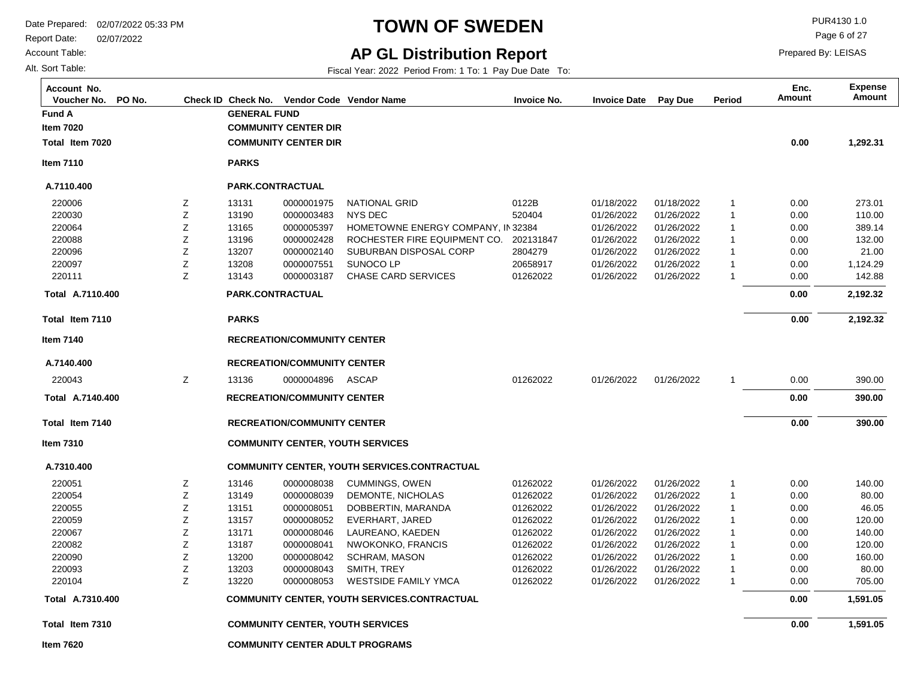Report Date: 02/07/2022

Account Table:

Alt. Sort Table:

## **TOWN OF SWEDEN** PUR4130 1.0

Page 6 of 27

Prepared By: LEISAS

### **AP GL Distribution Report**

| Account No.<br>PO No.<br>Voucher No. |   | Check ID Check No.  | Vendor Code Vendor Name            |                                                     | Invoice No. | <b>Invoice Date</b> | Pay Due    | Period         | Enc.<br>Amount | <b>Expense</b><br>Amount |
|--------------------------------------|---|---------------------|------------------------------------|-----------------------------------------------------|-------------|---------------------|------------|----------------|----------------|--------------------------|
| <b>Fund A</b>                        |   | <b>GENERAL FUND</b> |                                    |                                                     |             |                     |            |                |                |                          |
| <b>Item 7020</b>                     |   |                     | <b>COMMUNITY CENTER DIR</b>        |                                                     |             |                     |            |                |                |                          |
| Total Item 7020                      |   |                     | <b>COMMUNITY CENTER DIR</b>        |                                                     |             |                     |            |                | 0.00           | 1,292.31                 |
| <b>Item 7110</b>                     |   | <b>PARKS</b>        |                                    |                                                     |             |                     |            |                |                |                          |
| A.7110.400                           |   | PARK.CONTRACTUAL    |                                    |                                                     |             |                     |            |                |                |                          |
| 220006                               | Z | 13131               | 0000001975                         | <b>NATIONAL GRID</b>                                | 0122B       | 01/18/2022          | 01/18/2022 | $\overline{1}$ | 0.00           | 273.01                   |
| 220030                               | Z | 13190               | 0000003483                         | <b>NYS DEC</b>                                      | 520404      | 01/26/2022          | 01/26/2022 | $\overline{1}$ | 0.00           | 110.00                   |
| 220064                               | Ζ | 13165               | 0000005397                         | HOMETOWNE ENERGY COMPANY, IN 32384                  |             | 01/26/2022          | 01/26/2022 | $\mathbf{1}$   | 0.00           | 389.14                   |
| 220088                               | Ζ | 13196               | 0000002428                         | ROCHESTER FIRE EQUIPMENT CO.                        | 202131847   | 01/26/2022          | 01/26/2022 | $\overline{1}$ | 0.00           | 132.00                   |
| 220096                               | Z | 13207               | 0000002140                         | SUBURBAN DISPOSAL CORP                              | 2804279     | 01/26/2022          | 01/26/2022 | $\overline{1}$ | 0.00           | 21.00                    |
| 220097                               | Ζ | 13208               | 0000007551                         | SUNOCO LP                                           | 20658917    | 01/26/2022          | 01/26/2022 | $\overline{1}$ | 0.00           | 1,124.29                 |
| 220111                               | Z | 13143               | 0000003187                         | <b>CHASE CARD SERVICES</b>                          | 01262022    | 01/26/2022          | 01/26/2022 | $\overline{1}$ | 0.00           | 142.88                   |
| Total A.7110.400                     |   | PARK.CONTRACTUAL    |                                    |                                                     |             |                     |            |                | 0.00           | 2,192.32                 |
| Total Item 7110                      |   | <b>PARKS</b>        |                                    |                                                     |             |                     |            |                | 0.00           | 2,192.32                 |
| <b>Item 7140</b>                     |   |                     | <b>RECREATION/COMMUNITY CENTER</b> |                                                     |             |                     |            |                |                |                          |
| A.7140.400                           |   |                     | <b>RECREATION/COMMUNITY CENTER</b> |                                                     |             |                     |            |                |                |                          |
| 220043                               | Ζ | 13136               | 0000004896                         | ASCAP                                               | 01262022    | 01/26/2022          | 01/26/2022 | $\overline{1}$ | 0.00           | 390.00                   |
| Total A.7140.400                     |   |                     | <b>RECREATION/COMMUNITY CENTER</b> |                                                     |             |                     |            |                | 0.00           | 390.00                   |
| Total Item 7140                      |   |                     | <b>RECREATION/COMMUNITY CENTER</b> |                                                     |             |                     |            |                | 0.00           | 390.00                   |
| <b>Item 7310</b>                     |   |                     |                                    | <b>COMMUNITY CENTER, YOUTH SERVICES</b>             |             |                     |            |                |                |                          |
| A.7310.400                           |   |                     |                                    | <b>COMMUNITY CENTER, YOUTH SERVICES.CONTRACTUAL</b> |             |                     |            |                |                |                          |
| 220051                               | Z | 13146               | 0000008038                         | <b>CUMMINGS, OWEN</b>                               | 01262022    | 01/26/2022          | 01/26/2022 | $\overline{1}$ | 0.00           | 140.00                   |
| 220054                               | Z | 13149               | 0000008039                         | DEMONTE, NICHOLAS                                   | 01262022    | 01/26/2022          | 01/26/2022 | $\overline{1}$ | 0.00           | 80.00                    |
| 220055                               | Ζ | 13151               | 0000008051                         | DOBBERTIN, MARANDA                                  | 01262022    | 01/26/2022          | 01/26/2022 | $\overline{1}$ | 0.00           | 46.05                    |
| 220059                               | Ζ | 13157               | 0000008052                         | EVERHART, JARED                                     | 01262022    | 01/26/2022          | 01/26/2022 | $\overline{1}$ | 0.00           | 120.00                   |
| 220067                               | Z | 13171               | 0000008046                         | LAUREANO, KAEDEN                                    | 01262022    | 01/26/2022          | 01/26/2022 | $\overline{1}$ | 0.00           | 140.00                   |
| 220082                               | Ζ | 13187               | 0000008041                         | NWOKONKO, FRANCIS                                   | 01262022    | 01/26/2022          | 01/26/2022 | $\overline{1}$ | 0.00           | 120.00                   |
| 220090                               | Z | 13200               | 0000008042                         | <b>SCHRAM, MASON</b>                                | 01262022    | 01/26/2022          | 01/26/2022 | $\overline{1}$ | 0.00           | 160.00                   |
| 220093                               | Z | 13203               | 0000008043                         | SMITH, TREY                                         | 01262022    | 01/26/2022          | 01/26/2022 | $\overline{1}$ | 0.00           | 80.00                    |
| 220104                               | Z | 13220               | 0000008053                         | <b>WESTSIDE FAMILY YMCA</b>                         | 01262022    | 01/26/2022          | 01/26/2022 | $\overline{1}$ | 0.00           | 705.00                   |
| Total A.7310.400                     |   |                     |                                    | <b>COMMUNITY CENTER, YOUTH SERVICES.CONTRACTUAL</b> |             |                     |            |                | 0.00           | 1,591.05                 |
| Total Item 7310                      |   |                     |                                    | <b>COMMUNITY CENTER, YOUTH SERVICES</b>             |             |                     |            |                | 0.00           | 1,591.05                 |
| <b>Item 7620</b>                     |   |                     |                                    | <b>COMMUNITY CENTER ADULT PROGRAMS</b>              |             |                     |            |                |                |                          |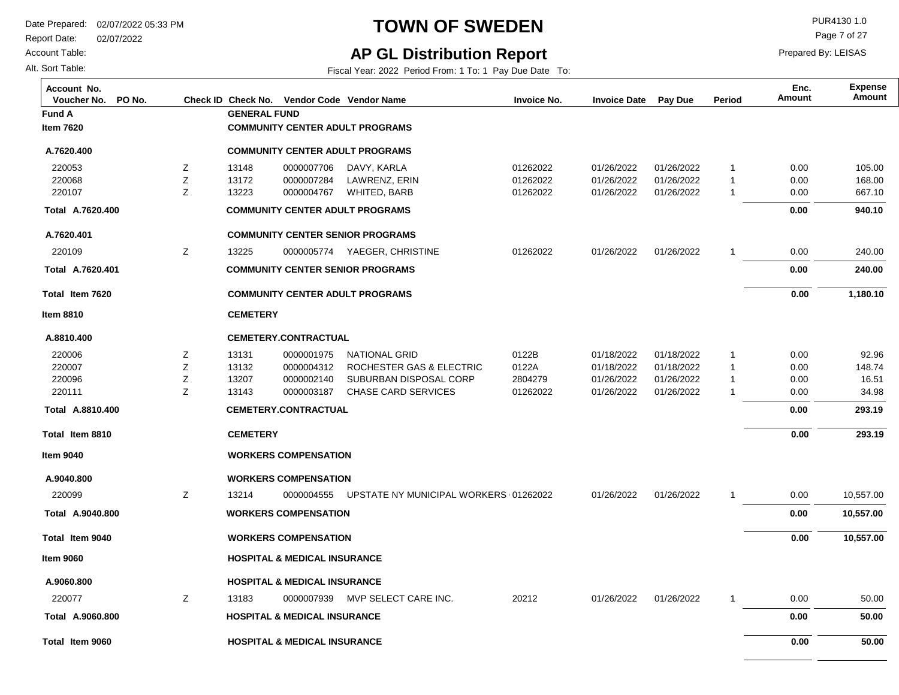Report Date: 02/07/2022

Account Table:

Alt. Sort Table:

## **TOWN OF SWEDEN** PURA130 1.0

Page 7 of 27

### **AP GL Distribution Report**

Fiscal Year: 2022 Period From: 1 To: 1 Pay Due Date To:

| Account No.<br>PO No.<br>Voucher No. |        |                     |                                         | Check ID Check No. Vendor Code Vendor Name | <b>Invoice No.</b> | <b>Invoice Date</b> | Pay Due    | Period       | Enc.<br>Amount | <b>Expense</b><br>Amount |
|--------------------------------------|--------|---------------------|-----------------------------------------|--------------------------------------------|--------------------|---------------------|------------|--------------|----------------|--------------------------|
| <b>Fund A</b>                        |        | <b>GENERAL FUND</b> |                                         |                                            |                    |                     |            |              |                |                          |
| <b>Item 7620</b>                     |        |                     |                                         | <b>COMMUNITY CENTER ADULT PROGRAMS</b>     |                    |                     |            |              |                |                          |
| A.7620.400                           |        |                     |                                         | <b>COMMUNITY CENTER ADULT PROGRAMS</b>     |                    |                     |            |              |                |                          |
| 220053                               | Ζ      | 13148               | 0000007706                              | DAVY, KARLA                                | 01262022           | 01/26/2022          | 01/26/2022 | 1            | 0.00           | 105.00                   |
| 220068                               | Z      | 13172               | 0000007284                              | LAWRENZ, ERIN                              | 01262022           | 01/26/2022          | 01/26/2022 | $\mathbf{1}$ | 0.00           | 168.00                   |
| 220107                               | Z      | 13223               | 0000004767                              | WHITED, BARB                               | 01262022           | 01/26/2022          | 01/26/2022 | $\mathbf{1}$ | 0.00           | 667.10                   |
| Total A.7620.400                     |        |                     |                                         | <b>COMMUNITY CENTER ADULT PROGRAMS</b>     |                    |                     |            |              | 0.00           | 940.10                   |
| A.7620.401                           |        |                     |                                         | <b>COMMUNITY CENTER SENIOR PROGRAMS</b>    |                    |                     |            |              |                |                          |
| 220109                               | Ζ      | 13225               |                                         | 0000005774 YAEGER, CHRISTINE               | 01262022           | 01/26/2022          | 01/26/2022 | $\mathbf{1}$ | 0.00           | 240.00                   |
| Total A.7620.401                     |        |                     |                                         | <b>COMMUNITY CENTER SENIOR PROGRAMS</b>    |                    |                     |            |              | 0.00           | 240.00                   |
| Total Item 7620                      |        |                     |                                         | <b>COMMUNITY CENTER ADULT PROGRAMS</b>     |                    |                     |            |              | 0.00           | 1,180.10                 |
| <b>Item 8810</b>                     |        | <b>CEMETERY</b>     |                                         |                                            |                    |                     |            |              |                |                          |
| A.8810.400                           |        |                     | <b>CEMETERY.CONTRACTUAL</b>             |                                            |                    |                     |            |              |                |                          |
| 220006                               | Ζ      | 13131               | 0000001975                              | <b>NATIONAL GRID</b>                       | 0122B              | 01/18/2022          | 01/18/2022 | 1            | 0.00           | 92.96                    |
| 220007                               | Z      | 13132               | 0000004312                              | ROCHESTER GAS & ELECTRIC                   | 0122A              | 01/18/2022          | 01/18/2022 | $\mathbf{1}$ | 0.00           | 148.74                   |
| 220096                               | Ζ<br>Z | 13207               | 0000002140                              | SUBURBAN DISPOSAL CORP                     | 2804279            | 01/26/2022          | 01/26/2022 | $\mathbf{1}$ | 0.00           | 16.51                    |
| 220111                               |        | 13143               | 0000003187                              | <b>CHASE CARD SERVICES</b>                 | 01262022           | 01/26/2022          | 01/26/2022 | 1            | 0.00           | 34.98                    |
| Total A.8810.400                     |        |                     | <b>CEMETERY.CONTRACTUAL</b>             |                                            |                    |                     |            |              | 0.00           | 293.19                   |
| Total Item 8810                      |        | <b>CEMETERY</b>     |                                         |                                            |                    |                     |            |              | 0.00           | 293.19                   |
| <b>Item 9040</b>                     |        |                     | <b>WORKERS COMPENSATION</b>             |                                            |                    |                     |            |              |                |                          |
| A.9040.800                           |        |                     | <b>WORKERS COMPENSATION</b>             |                                            |                    |                     |            |              |                |                          |
| 220099                               | Ζ      | 13214               | 0000004555                              | UPSTATE NY MUNICIPAL WORKERS (01262022     |                    | 01/26/2022          | 01/26/2022 | $\mathbf{1}$ | 0.00           | 10,557.00                |
| Total A.9040.800                     |        |                     | <b>WORKERS COMPENSATION</b>             |                                            |                    |                     |            |              | 0.00           | 10,557.00                |
| Total Item 9040                      |        |                     | <b>WORKERS COMPENSATION</b>             |                                            |                    |                     |            |              | 0.00           | 10,557.00                |
| <b>Item 9060</b>                     |        |                     | <b>HOSPITAL &amp; MEDICAL INSURANCE</b> |                                            |                    |                     |            |              |                |                          |
| A.9060.800                           |        |                     | <b>HOSPITAL &amp; MEDICAL INSURANCE</b> |                                            |                    |                     |            |              |                |                          |
| 220077                               | Ζ      | 13183               | 0000007939                              | MVP SELECT CARE INC.                       | 20212              | 01/26/2022          | 01/26/2022 | 1            | 0.00           | 50.00                    |
| Total A.9060.800                     |        |                     | <b>HOSPITAL &amp; MEDICAL INSURANCE</b> |                                            |                    |                     |            |              | 0.00           | 50.00                    |
| Total Item 9060                      |        |                     | <b>HOSPITAL &amp; MEDICAL INSURANCE</b> |                                            |                    |                     |            |              | 0.00           | 50.00                    |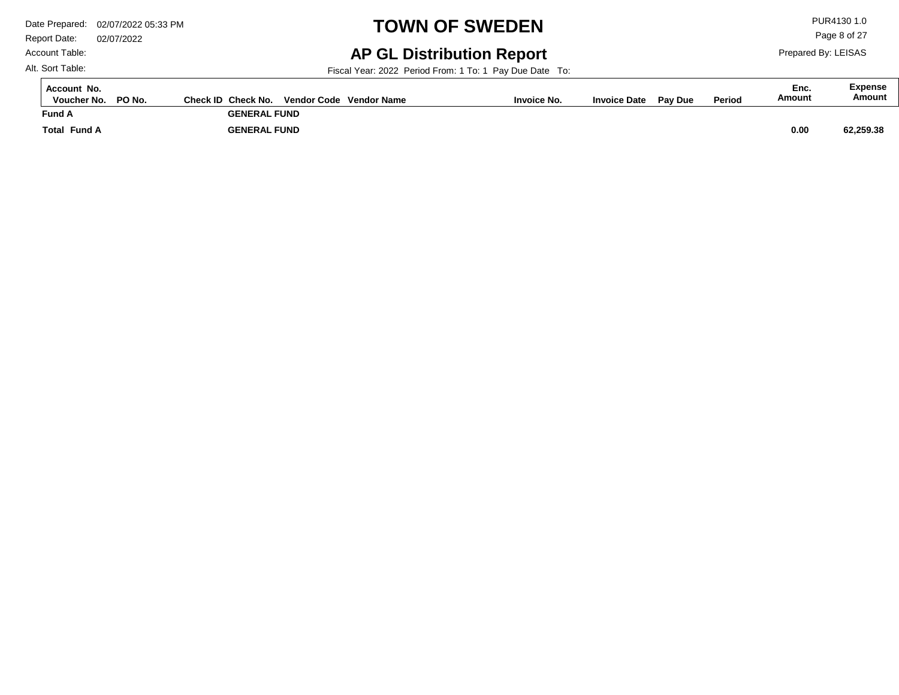Report Date: 02/07/2022 Account Table:

## **TOWN OF SWEDEN** PURA130 1.0

**AP GL Distribution Report**

Fiscal Year: 2022 Period From: 1 To: 1 Pay Due Date To:

**Total Fund A Fund A GENERAL FUND GENERAL FUND 62,259.38 Voucher No. PO No. Check ID Check No. Vendor Code Invoice No. Invoice Date Pay Due Period Amount Vendor NameAccount No. Expense Amount Enc. 0.00** 

Alt. Sort Table:

Page 8 of 27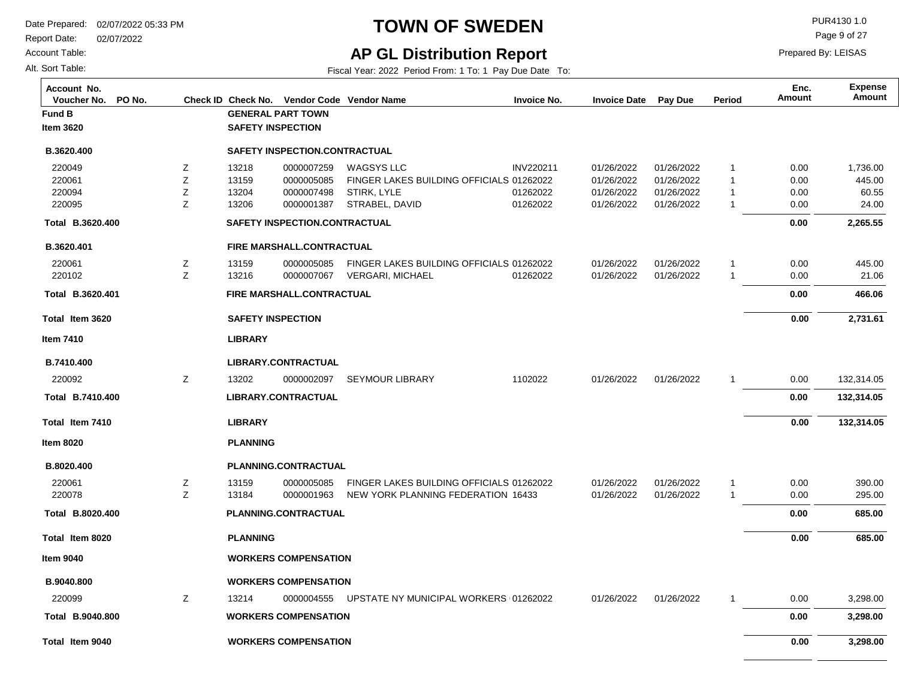Report Date: 02/07/2022

Account Table:

Alt. Sort Table:

## **TOWN OF SWEDEN** PUR4130 1.0

Page 9 of 27

Prepared By: LEISAS

### **AP GL Distribution Report**

| Account No.<br>PO No.<br>Voucher No. | Check ID |                 | Check No. Vendor Code Vendor Name |                                          | <b>Invoice No.</b> | <b>Invoice Date</b> | Pay Due    | Period         | Enc.<br>Amount | <b>Expense</b><br>Amount |
|--------------------------------------|----------|-----------------|-----------------------------------|------------------------------------------|--------------------|---------------------|------------|----------------|----------------|--------------------------|
| Fund B                               |          |                 | <b>GENERAL PART TOWN</b>          |                                          |                    |                     |            |                |                |                          |
| Item 3620                            |          |                 | <b>SAFETY INSPECTION</b>          |                                          |                    |                     |            |                |                |                          |
| B.3620.400                           |          |                 | SAFETY INSPECTION.CONTRACTUAL     |                                          |                    |                     |            |                |                |                          |
| 220049                               | Z        | 13218           | 0000007259                        | <b>WAGSYS LLC</b>                        | INV220211          | 01/26/2022          | 01/26/2022 | $\overline{1}$ | 0.00           | 1,736.00                 |
| 220061                               | Z        | 13159           | 0000005085                        | FINGER LAKES BUILDING OFFICIALS 01262022 |                    | 01/26/2022          | 01/26/2022 | $\overline{1}$ | 0.00           | 445.00                   |
| 220094                               | Z        | 13204           | 0000007498                        | <b>STIRK, LYLE</b>                       | 01262022           | 01/26/2022          | 01/26/2022 | $\overline{1}$ | 0.00           | 60.55                    |
| 220095                               | Z        | 13206           | 0000001387                        | STRABEL, DAVID                           | 01262022           | 01/26/2022          | 01/26/2022 | $\overline{1}$ | 0.00           | 24.00                    |
| Total B.3620.400                     |          |                 | SAFETY INSPECTION.CONTRACTUAL     |                                          |                    |                     |            |                | 0.00           | 2,265.55                 |
| B.3620.401                           |          |                 | FIRE MARSHALL.CONTRACTUAL         |                                          |                    |                     |            |                |                |                          |
| 220061                               | Ζ        | 13159           | 0000005085                        | FINGER LAKES BUILDING OFFICIALS 01262022 |                    | 01/26/2022          | 01/26/2022 | $\overline{1}$ | 0.00           | 445.00                   |
| 220102                               | Z        | 13216           | 0000007067                        | <b>VERGARI, MICHAEL</b>                  | 01262022           | 01/26/2022          | 01/26/2022 | $\overline{1}$ | 0.00           | 21.06                    |
| Total B.3620.401                     |          |                 | FIRE MARSHALL.CONTRACTUAL         |                                          |                    |                     |            |                | 0.00           | 466.06                   |
| Total Item 3620                      |          |                 | <b>SAFETY INSPECTION</b>          |                                          |                    |                     |            |                | 0.00           | 2,731.61                 |
| ltem 7410                            |          | <b>LIBRARY</b>  |                                   |                                          |                    |                     |            |                |                |                          |
| B.7410.400                           |          |                 | LIBRARY.CONTRACTUAL               |                                          |                    |                     |            |                |                |                          |
| 220092                               | Ζ        | 13202           | 0000002097                        | <b>SEYMOUR LIBRARY</b>                   | 1102022            | 01/26/2022          | 01/26/2022 | 1              | 0.00           | 132,314.05               |
| Total B.7410.400                     |          |                 | LIBRARY.CONTRACTUAL               |                                          |                    |                     |            |                | 0.00           | 132,314.05               |
| Total Item 7410                      |          | <b>LIBRARY</b>  |                                   |                                          |                    |                     |            |                | 0.00           | 132,314.05               |
| Item 8020                            |          | <b>PLANNING</b> |                                   |                                          |                    |                     |            |                |                |                          |
| B.8020.400                           |          |                 | PLANNING.CONTRACTUAL              |                                          |                    |                     |            |                |                |                          |
| 220061                               | Z        | 13159           | 0000005085                        | FINGER LAKES BUILDING OFFICIALS 01262022 |                    | 01/26/2022          | 01/26/2022 | $\overline{1}$ | 0.00           | 390.00                   |
| 220078                               | Z        | 13184           | 0000001963                        | NEW YORK PLANNING FEDERATION 16433       |                    | 01/26/2022          | 01/26/2022 | $\overline{1}$ | 0.00           | 295.00                   |
| Total B.8020.400                     |          |                 | PLANNING.CONTRACTUAL              |                                          |                    |                     |            |                | 0.00           | 685.00                   |
| Total Item 8020                      |          | <b>PLANNING</b> |                                   |                                          |                    |                     |            |                | 0.00           | 685.00                   |
| <b>Item 9040</b>                     |          |                 | <b>WORKERS COMPENSATION</b>       |                                          |                    |                     |            |                |                |                          |
| B.9040.800                           |          |                 | <b>WORKERS COMPENSATION</b>       |                                          |                    |                     |            |                |                |                          |
| 220099                               | Z        | 13214           | 0000004555                        | UPSTATE NY MUNICIPAL WORKERS (01262022   |                    | 01/26/2022          | 01/26/2022 | -1             | 0.00           | 3,298.00                 |
| Total B.9040.800                     |          |                 | <b>WORKERS COMPENSATION</b>       |                                          |                    |                     |            |                | 0.00           | 3,298.00                 |
| Total Item 9040                      |          |                 | <b>WORKERS COMPENSATION</b>       |                                          |                    |                     |            |                | 0.00           | 3,298.00                 |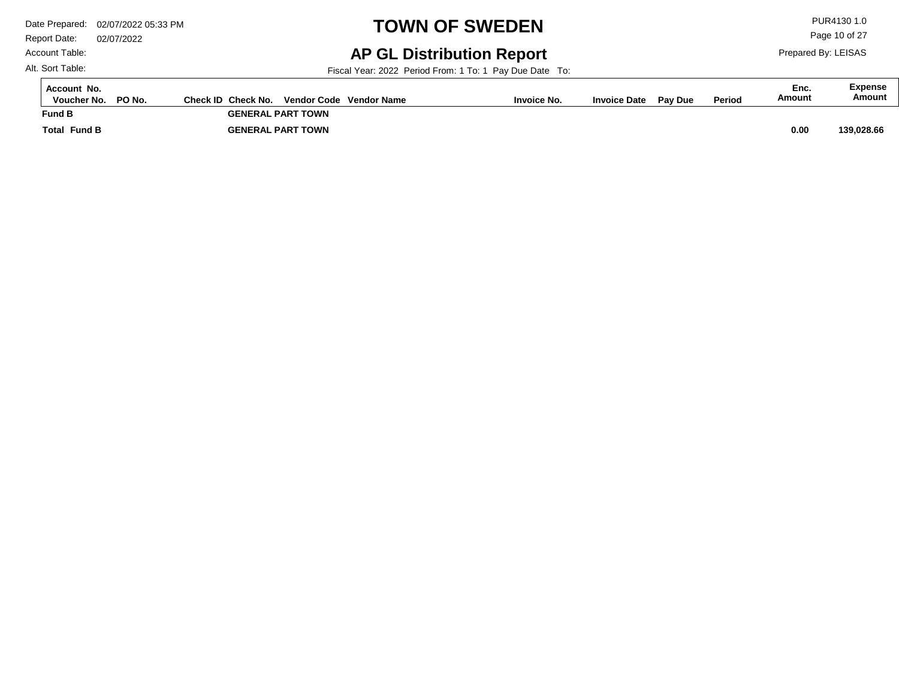Report Date: 02/07/2022 Account Table:

# **TOWN OF SWEDEN** PUR4130 1.0

### **AP GL Distribution Report**

Fiscal Year: 2022 Period From: 1 To: 1 Pay Due Date To:

| Account No.<br>PO No.<br>Voucher No. | Check ID Check No.<br>Vendor Code Vendor Name | <b>Invoice No.</b> | <b>Invoice Date</b> | <b>Pav Due</b> | <b>Period</b> | Enc.<br>Amount | <b>Expense</b><br>Amount |
|--------------------------------------|-----------------------------------------------|--------------------|---------------------|----------------|---------------|----------------|--------------------------|
| <b>Fund B</b>                        | <b>GENERAL PART TOWN</b>                      |                    |                     |                |               |                |                          |
| <b>Fund B</b><br>Total               | <b>GENERAL PART TOWN</b>                      |                    |                     |                |               | 0.00           | 139,028.66               |

Alt. Sort Table:

Page 10 of 27

Prepared By: LEISAS

 $\overline{a}$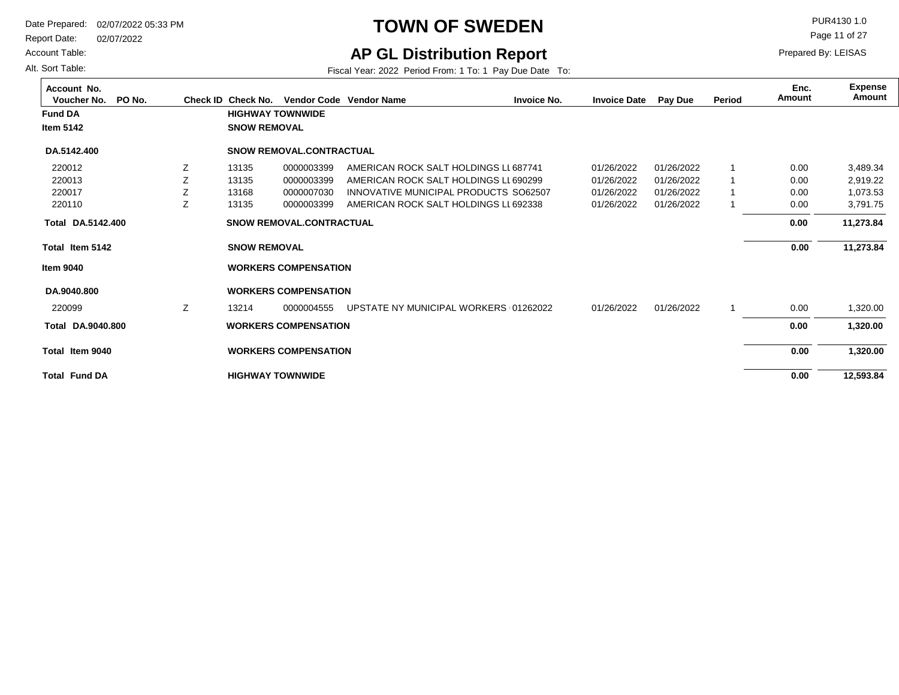Report Date: 02/07/2022

Account Table:

Alt. Sort Table:

### **TOWN OF SWEDEN** PUR4130 1.0

Page 11 of 27

### **AP GL Distribution Report**

Fiscal Year: 2022 Period From: 1 To: 1 Pay Due Date To:

**Total Item 5142 Total Item 9040 Total Fund DA Fund DA HIGHWAY TOWNWIDE SNOW REMOVAL WORKERS COMPENSATION HIGHWAY TOWNWIDE SNOW REMOVAL WORKERS COMPENSATION 12,593.84 11,273.84 1,320.00 Item 5142 Item 9040 Voucher No. PO No. Check ID Check No. Vendor Code Invoice No. Invoice Date Pay Due Period Amount Vendor NameAccount No. Expense Amount Enc. DA.5142.400 Total DA.9040.800 Total 11,273.84 1,320.00 DA.5142.400 DA.9040.800** 01/26/2022 01/26/2022 01/26/2022 01/26/2022 01/26/2022 AMERICAN ROCK SALT HOLDINGS LL687741 AMERICAN ROCK SALT HOLDINGS LL 690299 INNOVATIVE MUNICIPAL PRODUCTS SO62507 AMERICAN ROCK SALT HOLDINGS LL 692338 UPSTATE NY MUNICIPAL WORKERS (01262022 1 1 1 1 1 220012 220013 220017 220110 220099 01/26/2022 01/26/2022 01/26/2022 01/26/2022 01/26/2022 13135 13135 13168 13135 13214 Z Z Z Z Z 0000003399 0000003399 0000007030 0000003399 0000004555 3,489.34 2,919.22 1,073.53 3,791.75 1,320.00 **SNOW REMOVAL.CONTRACTUAL WORKERS COMPENSATION SNOW REMOVAL.CONTRACTUAL WORKERS COMPENSATION** 0.00 0.00 0.00 0.00 0.00  **0.00 0.00 0.00 0.00 0.00**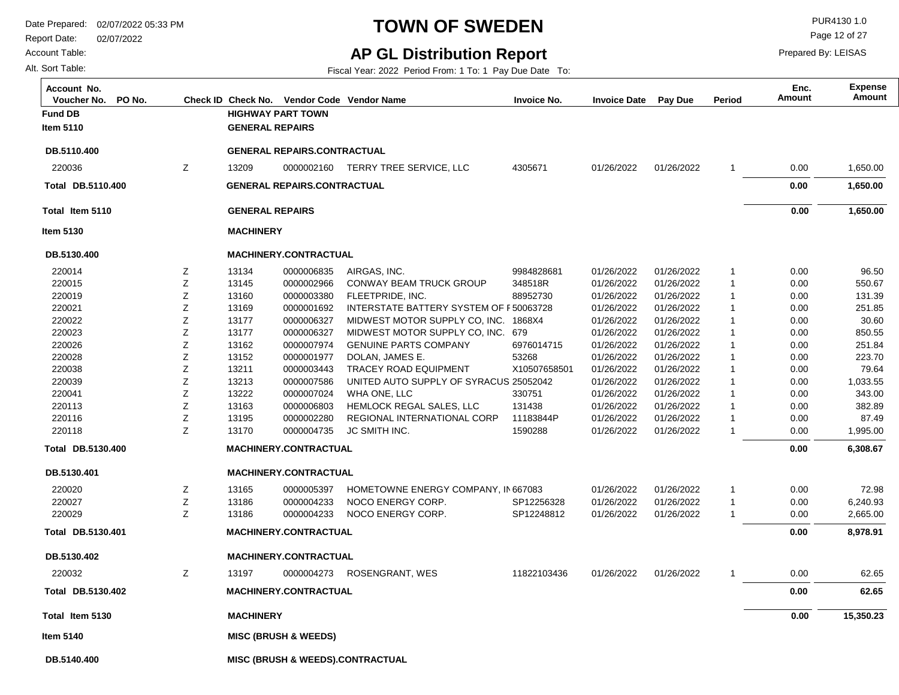Report Date: 02/07/2022

Account Table:

Alt. Sort Table:

## **TOWN OF SWEDEN** PURA130 1.0

**AP GL Distribution Report**

Fiscal Year: 2022 Period From: 1 To: 1 Pay Due Date To:

Page 12 of 27

| Account No.<br>PO No.<br>Voucher No. |   |                        | Check ID Check No. Vendor Code Vendor Name |                                             | <b>Invoice No.</b> | <b>Invoice Date</b> | <b>Pay Due</b> | Period         | Enc.<br><b>Amount</b> | <b>Expense</b><br>Amount |
|--------------------------------------|---|------------------------|--------------------------------------------|---------------------------------------------|--------------------|---------------------|----------------|----------------|-----------------------|--------------------------|
| <b>Fund DB</b>                       |   |                        | <b>HIGHWAY PART TOWN</b>                   |                                             |                    |                     |                |                |                       |                          |
| Item 5110                            |   | <b>GENERAL REPAIRS</b> |                                            |                                             |                    |                     |                |                |                       |                          |
| DB.5110.400                          |   |                        | <b>GENERAL REPAIRS.CONTRACTUAL</b>         |                                             |                    |                     |                |                |                       |                          |
| 220036                               | Ζ | 13209                  |                                            | 0000002160 TERRY TREE SERVICE, LLC          | 4305671            | 01/26/2022          | 01/26/2022     | -1             | 0.00                  | 1,650.00                 |
| Total DB.5110.400                    |   |                        | <b>GENERAL REPAIRS.CONTRACTUAL</b>         |                                             |                    |                     |                |                | 0.00                  | 1,650.00                 |
| Total Item 5110                      |   | <b>GENERAL REPAIRS</b> |                                            |                                             |                    |                     |                |                | 0.00                  | 1,650.00                 |
| <b>Item 5130</b>                     |   | <b>MACHINERY</b>       |                                            |                                             |                    |                     |                |                |                       |                          |
| DB.5130.400                          |   |                        | <b>MACHINERY.CONTRACTUAL</b>               |                                             |                    |                     |                |                |                       |                          |
| 220014                               | Ζ | 13134                  | 0000006835                                 | AIRGAS, INC.                                | 9984828681         | 01/26/2022          | 01/26/2022     | -1             | 0.00                  | 96.50                    |
| 220015                               | Ζ | 13145                  | 0000002966                                 | <b>CONWAY BEAM TRUCK GROUP</b>              | 348518R            | 01/26/2022          | 01/26/2022     | $\mathbf 1$    | 0.00                  | 550.67                   |
| 220019                               | Ζ | 13160                  | 0000003380                                 | FLEETPRIDE, INC.                            | 88952730           | 01/26/2022          | 01/26/2022     | -1             | 0.00                  | 131.39                   |
| 220021                               | Ζ | 13169                  | 0000001692                                 | INTERSTATE BATTERY SYSTEM OF F50063728      |                    | 01/26/2022          | 01/26/2022     | -1             | 0.00                  | 251.85                   |
| 220022                               | Z | 13177                  | 0000006327                                 | MIDWEST MOTOR SUPPLY CO, INC.               | 1868X4             | 01/26/2022          | 01/26/2022     | -1             | 0.00                  | 30.60                    |
| 220023                               | Ζ | 13177                  | 0000006327                                 | MIDWEST MOTOR SUPPLY CO, INC. 679           |                    | 01/26/2022          | 01/26/2022     | -1             | 0.00                  | 850.55                   |
| 220026                               | Ζ | 13162                  | 0000007974                                 | <b>GENUINE PARTS COMPANY</b>                | 6976014715         | 01/26/2022          | 01/26/2022     | $\overline{1}$ | 0.00                  | 251.84                   |
| 220028                               | Ζ | 13152                  | 0000001977                                 | DOLAN, JAMES E.                             | 53268              | 01/26/2022          | 01/26/2022     | $\overline{1}$ | 0.00                  | 223.70                   |
| 220038                               | Ζ | 13211                  | 0000003443                                 | <b>TRACEY ROAD EQUIPMENT</b>                | X10507658501       | 01/26/2022          | 01/26/2022     | $\mathbf 1$    | 0.00                  | 79.64                    |
| 220039                               | Ζ | 13213                  | 0000007586                                 | UNITED AUTO SUPPLY OF SYRACUS 25052042      |                    | 01/26/2022          | 01/26/2022     | -1             | 0.00                  | 1,033.55                 |
| 220041                               | Ζ | 13222                  | 0000007024                                 | WHA ONE, LLC                                | 330751             | 01/26/2022          | 01/26/2022     | 1              | 0.00                  | 343.00                   |
| 220113                               | Ζ | 13163                  | 0000006803                                 | HEMLOCK REGAL SALES, LLC                    | 131438             | 01/26/2022          | 01/26/2022     | -1             | 0.00                  | 382.89                   |
| 220116                               | Ζ | 13195                  | 0000002280                                 | REGIONAL INTERNATIONAL CORP                 | 11183844P          | 01/26/2022          | 01/26/2022     | -1             | 0.00                  | 87.49                    |
| 220118                               | Z | 13170                  | 0000004735                                 | JC SMITH INC.                               | 1590288            | 01/26/2022          | 01/26/2022     | 1              | 0.00                  | 1,995.00                 |
| Total DB.5130.400                    |   |                        | MACHINERY.CONTRACTUAL                      |                                             |                    |                     |                |                | 0.00                  | 6,308.67                 |
| DB.5130.401                          |   |                        | <b>MACHINERY.CONTRACTUAL</b>               |                                             |                    |                     |                |                |                       |                          |
| 220020                               | Ζ | 13165                  | 0000005397                                 | HOMETOWNE ENERGY COMPANY, IN 667083         |                    | 01/26/2022          | 01/26/2022     | -1             | 0.00                  | 72.98                    |
| 220027                               | Z | 13186                  | 0000004233                                 | NOCO ENERGY CORP.                           | SP12256328         | 01/26/2022          | 01/26/2022     | $\mathbf{1}$   | 0.00                  | 6,240.93                 |
| 220029                               | Z | 13186                  | 0000004233                                 | NOCO ENERGY CORP.                           | SP12248812         | 01/26/2022          | 01/26/2022     | -1             | 0.00                  | 2,665.00                 |
| Total DB.5130.401                    |   |                        | MACHINERY.CONTRACTUAL                      |                                             |                    |                     |                |                | 0.00                  | 8,978.91                 |
| DB.5130.402                          |   |                        | <b>MACHINERY.CONTRACTUAL</b>               |                                             |                    |                     |                |                |                       |                          |
| 220032                               | Ζ | 13197                  | 0000004273                                 | <b>ROSENGRANT, WES</b>                      | 11822103436        | 01/26/2022          | 01/26/2022     | 1              | 0.00                  | 62.65                    |
| Total DB.5130.402                    |   |                        | <b>MACHINERY.CONTRACTUAL</b>               |                                             |                    |                     |                |                | 0.00                  | 62.65                    |
| Total Item 5130                      |   | <b>MACHINERY</b>       |                                            |                                             |                    |                     |                |                | 0.00                  | 15,350.23                |
| Item 5140                            |   |                        | <b>MISC (BRUSH &amp; WEEDS)</b>            |                                             |                    |                     |                |                |                       |                          |
| DB.5140.400                          |   |                        |                                            | <b>MISC (BRUSH &amp; WEEDS).CONTRACTUAL</b> |                    |                     |                |                |                       |                          |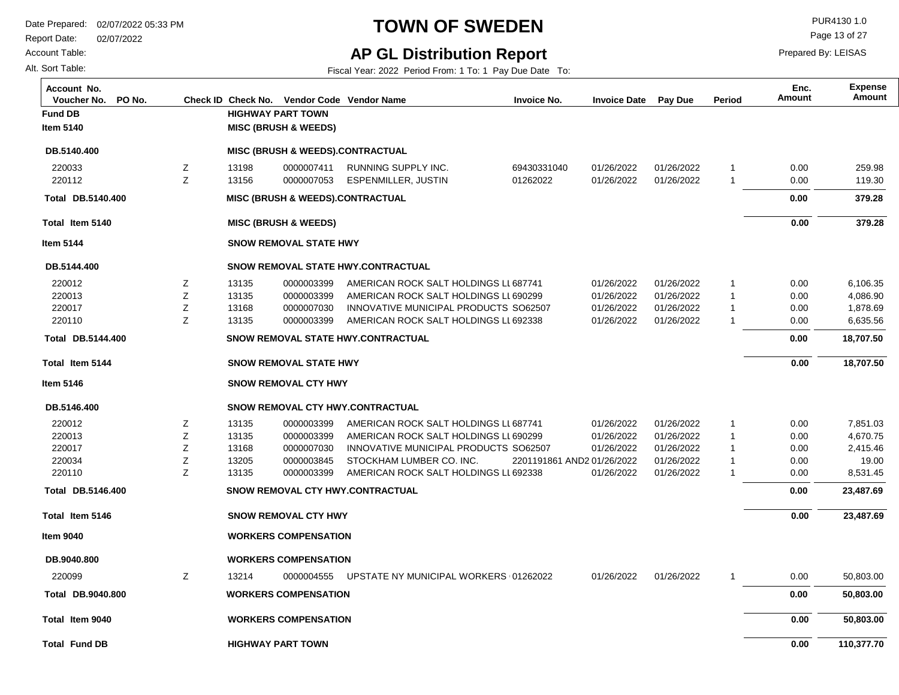Report Date: 02/07/2022

Account Table:

Alt. Sort Table:

## **TOWN OF SWEDEN** PUR4130 1.0

**AP GL Distribution Report**

Fiscal Year: 2022 Period From: 1 To: 1 Pay Due Date To:

Page 13 of 27

| Account No.<br>Voucher No.<br>PO No. |        | Check ID Check No.       |                                 | Vendor Code Vendor Name                                           | <b>Invoice No.</b>         | <b>Invoice Date</b> | Pay Due                  | Period         | Enc.<br>Amount | <b>Expense</b><br>Amount |
|--------------------------------------|--------|--------------------------|---------------------------------|-------------------------------------------------------------------|----------------------------|---------------------|--------------------------|----------------|----------------|--------------------------|
| <b>Fund DB</b>                       |        | <b>HIGHWAY PART TOWN</b> |                                 |                                                                   |                            |                     |                          |                |                |                          |
| <b>Item 5140</b>                     |        |                          | <b>MISC (BRUSH &amp; WEEDS)</b> |                                                                   |                            |                     |                          |                |                |                          |
| DB.5140.400                          |        |                          |                                 | <b>MISC (BRUSH &amp; WEEDS).CONTRACTUAL</b>                       |                            |                     |                          |                |                |                          |
| 220033                               | Z      | 13198                    | 0000007411                      | RUNNING SUPPLY INC.                                               | 69430331040                | 01/26/2022          | 01/26/2022               | $\mathbf{1}$   | 0.00           | 259.98                   |
| 220112                               | Z      | 13156                    | 0000007053                      | ESPENMILLER, JUSTIN                                               | 01262022                   | 01/26/2022          | 01/26/2022               | $\overline{1}$ | 0.00           | 119.30                   |
| Total DB.5140.400                    |        |                          |                                 | <b>MISC (BRUSH &amp; WEEDS).CONTRACTUAL</b>                       |                            |                     |                          |                | 0.00           | 379.28                   |
| Total Item 5140                      |        |                          | <b>MISC (BRUSH &amp; WEEDS)</b> |                                                                   |                            |                     |                          |                | 0.00           | 379.28                   |
| <b>Item 5144</b>                     |        |                          | <b>SNOW REMOVAL STATE HWY</b>   |                                                                   |                            |                     |                          |                |                |                          |
| DB.5144.400                          |        |                          |                                 | SNOW REMOVAL STATE HWY.CONTRACTUAL                                |                            |                     |                          |                |                |                          |
| 220012                               | Ζ      | 13135                    | 0000003399                      | AMERICAN ROCK SALT HOLDINGS LL 687741                             |                            | 01/26/2022          | 01/26/2022               | 1              | 0.00           | 6,106.35                 |
| 220013                               | Z      | 13135                    | 0000003399                      | AMERICAN ROCK SALT HOLDINGS LL 690299                             |                            | 01/26/2022          | 01/26/2022               | 1              | 0.00           | 4,086.90                 |
| 220017                               | Z      | 13168                    | 0000007030                      | INNOVATIVE MUNICIPAL PRODUCTS SO62507                             |                            | 01/26/2022          | 01/26/2022               | $\mathbf{1}$   | 0.00           | 1,878.69                 |
| 220110                               | Z      | 13135                    | 0000003399                      | AMERICAN ROCK SALT HOLDINGS LL 692338                             |                            | 01/26/2022          | 01/26/2022               | $\mathbf 1$    | 0.00           | 6,635.56                 |
| Total DB.5144.400                    |        |                          |                                 | <b>SNOW REMOVAL STATE HWY CONTRACTUAL</b>                         |                            |                     |                          |                | 0.00           | 18,707.50                |
| Total Item 5144                      |        |                          | <b>SNOW REMOVAL STATE HWY</b>   |                                                                   |                            |                     |                          |                | 0.00           | 18,707.50                |
| <b>Item 5146</b>                     |        |                          | <b>SNOW REMOVAL CTY HWY</b>     |                                                                   |                            |                     |                          |                |                |                          |
| DB.5146.400                          |        |                          |                                 | SNOW REMOVAL CTY HWY.CONTRACTUAL                                  |                            |                     |                          |                |                |                          |
| 220012                               | Ζ      | 13135                    | 0000003399                      | AMERICAN ROCK SALT HOLDINGS LL 687741                             |                            | 01/26/2022          | 01/26/2022               | 1              | 0.00           | 7,851.03                 |
| 220013                               | Z      | 13135                    | 0000003399                      | AMERICAN ROCK SALT HOLDINGS LL 690299                             |                            | 01/26/2022          | 01/26/2022               | $\mathbf{1}$   | 0.00           | 4,670.75                 |
| 220017                               | Ζ      | 13168                    | 0000007030                      | INNOVATIVE MUNICIPAL PRODUCTS SO62507                             |                            | 01/26/2022          | 01/26/2022               | $\mathbf 1$    | 0.00           | 2,415.46                 |
| 220034<br>220110                     | Z<br>Z | 13205<br>13135           | 0000003845<br>0000003399        | STOCKHAM LUMBER CO. INC.<br>AMERICAN ROCK SALT HOLDINGS LL 692338 | 2201191861 AND2 01/26/2022 | 01/26/2022          | 01/26/2022<br>01/26/2022 | 1<br>-1        | 0.00<br>0.00   | 19.00<br>8,531.45        |
| Total DB.5146.400                    |        |                          |                                 | SNOW REMOVAL CTY HWY.CONTRACTUAL                                  |                            |                     |                          |                | 0.00           | 23,487.69                |
|                                      |        |                          |                                 |                                                                   |                            |                     |                          |                |                |                          |
| Total Item 5146                      |        |                          | <b>SNOW REMOVAL CTY HWY</b>     |                                                                   |                            |                     |                          |                | 0.00           | 23,487.69                |
| <b>Item 9040</b>                     |        |                          | <b>WORKERS COMPENSATION</b>     |                                                                   |                            |                     |                          |                |                |                          |
| DB.9040.800                          |        |                          | <b>WORKERS COMPENSATION</b>     |                                                                   |                            |                     |                          |                |                |                          |
| 220099                               | Ζ      | 13214                    | 0000004555                      | UPSTATE NY MUNICIPAL WORKERS (01262022                            |                            | 01/26/2022          | 01/26/2022               | -1             | 0.00           | 50,803.00                |
| Total DB.9040.800                    |        |                          | <b>WORKERS COMPENSATION</b>     |                                                                   |                            |                     |                          |                | 0.00           | 50,803.00                |
| Total Item 9040                      |        |                          | <b>WORKERS COMPENSATION</b>     |                                                                   |                            |                     |                          |                | 0.00           | 50,803.00                |
| <b>Total Fund DB</b>                 |        | <b>HIGHWAY PART TOWN</b> |                                 |                                                                   |                            |                     |                          |                | 0.00           | 110,377.70               |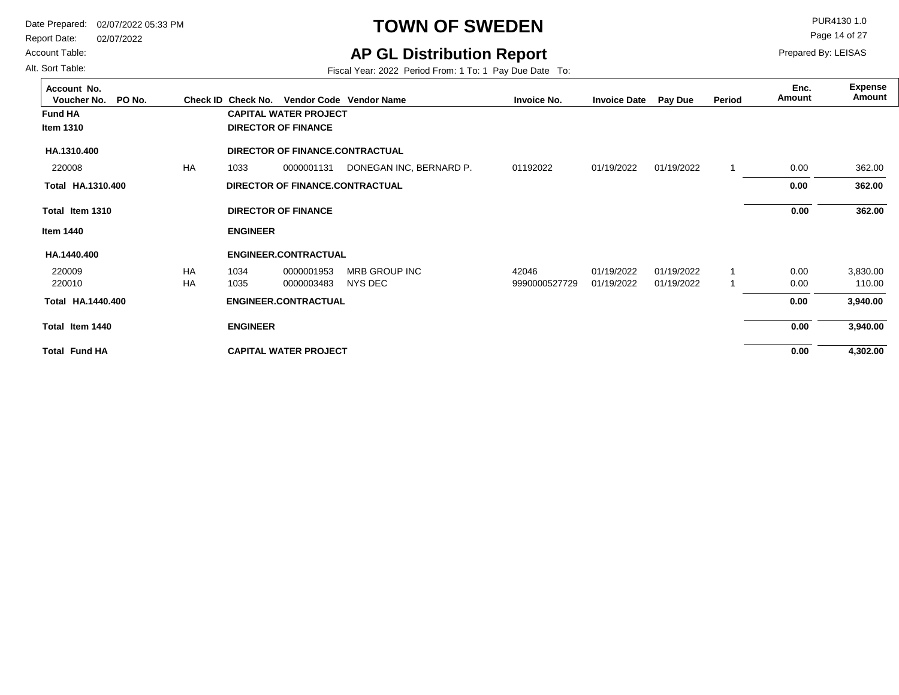Report Date: 02/07/2022

#### Account Table: Alt. Sort Table:

**AP GL Distribution Report** Fiscal Year: 2022 Period From: 1 To: 1 Pay Due Date To:

**TOWN OF SWEDEN** PUR4130 1.0

Page 14 of 27

| Account No.<br>Voucher No.<br>PO No. |           | Check ID Check No. |                              | Vendor Code Vendor Name                | <b>Invoice No.</b> | <b>Invoice Date</b> | Pay Due    | Period | Enc.<br>Amount | <b>Expense</b><br>Amount |
|--------------------------------------|-----------|--------------------|------------------------------|----------------------------------------|--------------------|---------------------|------------|--------|----------------|--------------------------|
| <b>Fund HA</b>                       |           |                    | <b>CAPITAL WATER PROJECT</b> |                                        |                    |                     |            |        |                |                          |
| <b>Item 1310</b>                     |           |                    | <b>DIRECTOR OF FINANCE</b>   |                                        |                    |                     |            |        |                |                          |
| HA.1310.400                          |           |                    |                              | <b>DIRECTOR OF FINANCE CONTRACTUAL</b> |                    |                     |            |        |                |                          |
| 220008                               | <b>HA</b> | 1033               | 0000001131                   | DONEGAN INC, BERNARD P.                | 01192022           | 01/19/2022          | 01/19/2022 |        | 0.00           | 362.00                   |
| Total HA.1310.400                    |           |                    |                              | DIRECTOR OF FINANCE.CONTRACTUAL        |                    |                     |            |        | 0.00           | 362.00                   |
| Total Item 1310                      |           |                    | <b>DIRECTOR OF FINANCE</b>   |                                        |                    |                     |            |        | 0.00           | 362.00                   |
| <b>Item 1440</b>                     |           | <b>ENGINEER</b>    |                              |                                        |                    |                     |            |        |                |                          |
| HA.1440.400                          |           |                    | <b>ENGINEER.CONTRACTUAL</b>  |                                        |                    |                     |            |        |                |                          |
| 220009                               | <b>HA</b> | 1034               | 0000001953                   | <b>MRB GROUP INC</b>                   | 42046              | 01/19/2022          | 01/19/2022 |        | 0.00           | 3,830.00                 |
| 220010                               | HA        | 1035               | 0000003483                   | NYS DEC                                | 9990000527729      | 01/19/2022          | 01/19/2022 |        | 0.00           | 110.00                   |
| Total HA.1440.400                    |           |                    | <b>ENGINEER.CONTRACTUAL</b>  |                                        |                    |                     |            |        | 0.00           | 3,940.00                 |
| Total Item 1440                      |           | <b>ENGINEER</b>    |                              |                                        |                    |                     |            |        | 0.00           | 3,940.00                 |
| <b>Total Fund HA</b>                 |           |                    | <b>CAPITAL WATER PROJECT</b> |                                        |                    |                     |            |        | 0.00           | 4,302.00                 |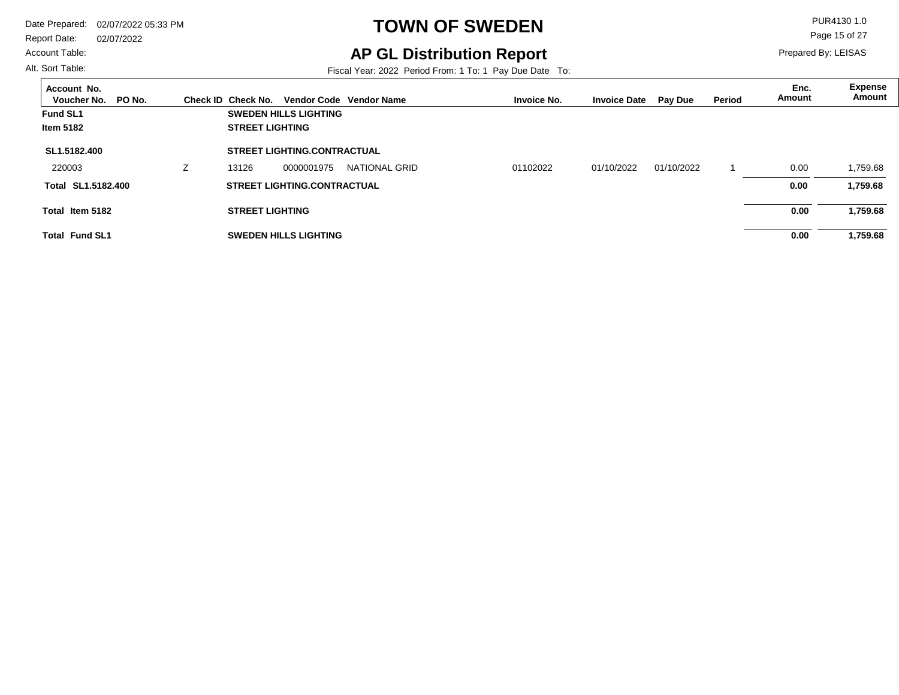#### Account Table:

Alt. Sort Table:

## **TOWN OF SWEDEN** PUR4130 1.0

### **AP GL Distribution Report**

Fiscal Year: 2022 Period From: 1 To: 1 Pay Due Date To:

Page 15 of 27

| Account No.<br>PO No.<br>Voucher No. |   | Check ID Check No.     |                                    | Vendor Code Vendor Name | <b>Invoice No.</b> | <b>Invoice Date</b> | <b>Pay Due</b> | Period | Enc.<br>Amount | <b>Expense</b><br>Amount |
|--------------------------------------|---|------------------------|------------------------------------|-------------------------|--------------------|---------------------|----------------|--------|----------------|--------------------------|
| <b>Fund SL1</b>                      |   |                        | <b>SWEDEN HILLS LIGHTING</b>       |                         |                    |                     |                |        |                |                          |
| <b>Item 5182</b>                     |   | <b>STREET LIGHTING</b> |                                    |                         |                    |                     |                |        |                |                          |
| SL1.5182.400                         |   |                        | <b>STREET LIGHTING.CONTRACTUAL</b> |                         |                    |                     |                |        |                |                          |
| 220003                               | z | 13126                  | 0000001975                         | NATIONAL GRID           | 01102022           | 01/10/2022          | 01/10/2022     |        | 0.00           | 1,759.68                 |
| Total SL1.5182.400                   |   |                        | <b>STREET LIGHTING.CONTRACTUAL</b> |                         |                    |                     |                |        | 0.00           | 1,759.68                 |
| Total Item 5182                      |   | <b>STREET LIGHTING</b> |                                    |                         |                    |                     |                |        | 0.00           | 1,759.68                 |
| <b>Total Fund SL1</b>                |   |                        | <b>SWEDEN HILLS LIGHTING</b>       |                         |                    |                     |                |        | 0.00           | 1,759.68                 |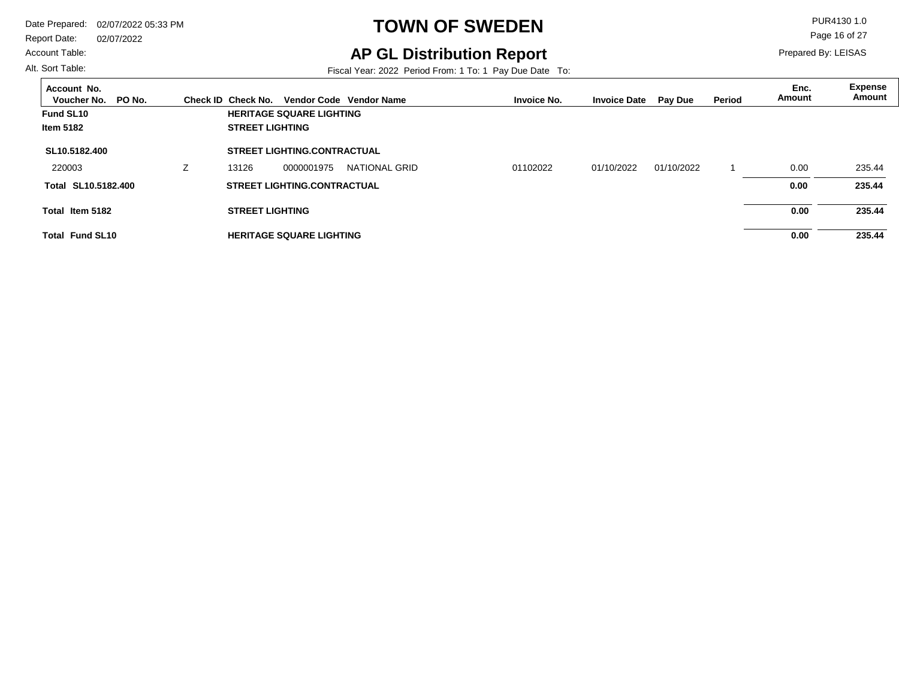Account Table:

Alt. Sort Table:

## **TOWN OF SWEDEN** PUR4130 1.0

### **AP GL Distribution Report**

Fiscal Year: 2022 Period From: 1 To: 1 Pay Due Date To:

Page 16 of 27

| Account No.<br>Voucher No.<br>PO No. | Check ID Check No.     |                                    | Vendor Code Vendor Name | <b>Invoice No.</b> | <b>Invoice Date</b> | Pay Due    | Period | Enc.<br>Amount | <b>Expense</b><br>Amount |
|--------------------------------------|------------------------|------------------------------------|-------------------------|--------------------|---------------------|------------|--------|----------------|--------------------------|
| Fund SL10                            |                        | <b>HERITAGE SQUARE LIGHTING</b>    |                         |                    |                     |            |        |                |                          |
| <b>Item 5182</b>                     | <b>STREET LIGHTING</b> |                                    |                         |                    |                     |            |        |                |                          |
| SL10.5182.400                        |                        | <b>STREET LIGHTING.CONTRACTUAL</b> |                         |                    |                     |            |        |                |                          |
| 220003                               | 13126                  | 0000001975                         | NATIONAL GRID           | 01102022           | 01/10/2022          | 01/10/2022 |        | 0.00           | 235.44                   |
| Total SL10.5182.400                  |                        | <b>STREET LIGHTING.CONTRACTUAL</b> |                         |                    |                     |            |        | 0.00           | 235.44                   |
| Total Item 5182                      | <b>STREET LIGHTING</b> |                                    |                         |                    |                     |            |        | 0.00           | 235.44                   |
| <b>Total Fund SL10</b>               |                        | <b>HERITAGE SQUARE LIGHTING</b>    |                         |                    |                     |            |        | 0.00           | 235.44                   |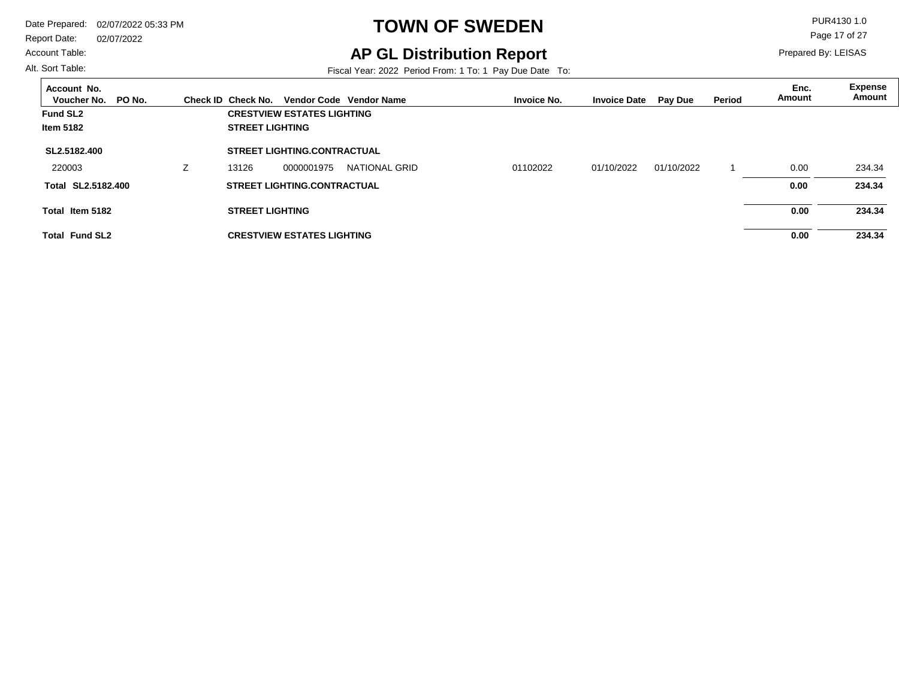Report Date: 02/07/2022

#### Account Table:

Alt. Sort Table:

## **TOWN OF SWEDEN** PUR4130 1.0

### **AP GL Distribution Report**

Fiscal Year: 2022 Period From: 1 To: 1 Pay Due Date To:

Page 17 of 27

| Account No.<br>PO No.<br>Voucher No. | Check ID Check No.     |                                    | Vendor Code Vendor Name | <b>Invoice No.</b> | <b>Invoice Date</b> | <b>Pay Due</b> | Period | Enc.<br>Amount | Expense<br>Amount |
|--------------------------------------|------------------------|------------------------------------|-------------------------|--------------------|---------------------|----------------|--------|----------------|-------------------|
| <b>Fund SL2</b>                      |                        | <b>CRESTVIEW ESTATES LIGHTING</b>  |                         |                    |                     |                |        |                |                   |
| <b>Item 5182</b>                     | <b>STREET LIGHTING</b> |                                    |                         |                    |                     |                |        |                |                   |
| SL2.5182.400                         |                        | <b>STREET LIGHTING.CONTRACTUAL</b> |                         |                    |                     |                |        |                |                   |
| 220003                               | 13126                  | 0000001975                         | NATIONAL GRID           | 01102022           | 01/10/2022          | 01/10/2022     |        | 0.00           | 234.34            |
| Total SL2.5182.400                   |                        | <b>STREET LIGHTING.CONTRACTUAL</b> |                         |                    |                     |                |        | 0.00           | 234.34            |
| Total Item 5182                      | <b>STREET LIGHTING</b> |                                    |                         |                    |                     |                |        | 0.00           | 234.34            |
| <b>Total Fund SL2</b>                |                        | <b>CRESTVIEW ESTATES LIGHTING</b>  |                         |                    |                     |                |        | 0.00           | 234.34            |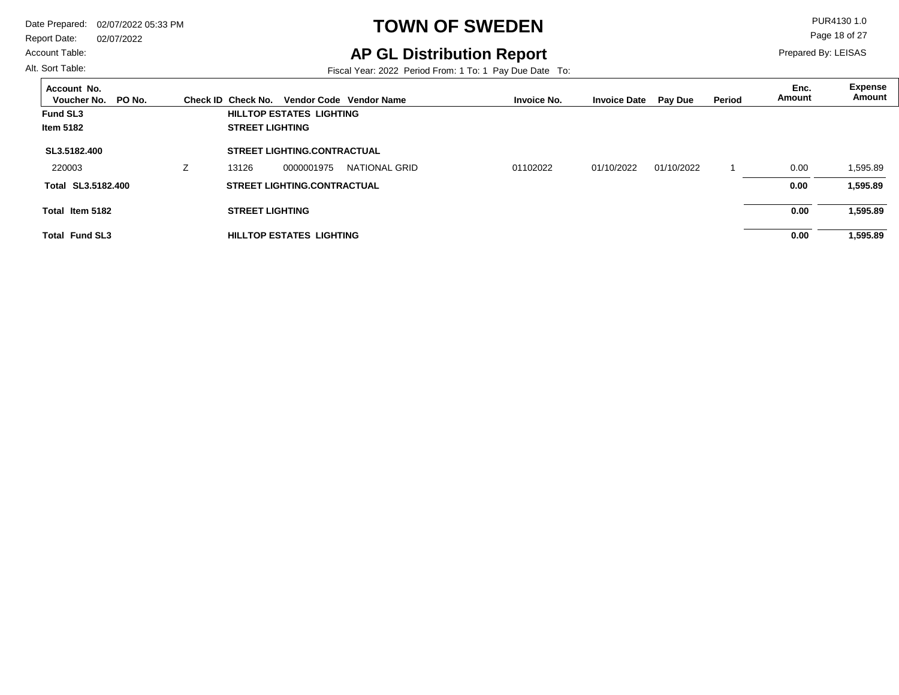Report Date: 02/07/2022

#### Account Table:

Alt. Sort Table:

## **TOWN OF SWEDEN** PUR4130 1.0

### **AP GL Distribution Report**

Fiscal Year: 2022 Period From: 1 To: 1 Pay Due Date To:

Page 18 of 27

| Account No.<br>PO No.<br>Voucher No. | Check ID Check No.     |                                    | Vendor Code Vendor Name | <b>Invoice No.</b> | <b>Invoice Date</b> | Pay Due    | Period | Enc.<br>Amount | <b>Expense</b><br>Amount |
|--------------------------------------|------------------------|------------------------------------|-------------------------|--------------------|---------------------|------------|--------|----------------|--------------------------|
| <b>Fund SL3</b>                      |                        | <b>HILLTOP ESTATES LIGHTING</b>    |                         |                    |                     |            |        |                |                          |
| <b>Item 5182</b>                     | <b>STREET LIGHTING</b> |                                    |                         |                    |                     |            |        |                |                          |
| SL3.5182.400                         |                        | <b>STREET LIGHTING.CONTRACTUAL</b> |                         |                    |                     |            |        |                |                          |
| 220003                               | 13126                  | 0000001975                         | NATIONAL GRID           | 01102022           | 01/10/2022          | 01/10/2022 |        | 0.00           | 1,595.89                 |
| Total SL3.5182.400                   |                        | <b>STREET LIGHTING.CONTRACTUAL</b> |                         |                    |                     |            |        | 0.00           | 1,595.89                 |
| Total Item 5182                      | <b>STREET LIGHTING</b> |                                    |                         |                    |                     |            |        | 0.00           | 1,595.89                 |
| <b>Total Fund SL3</b>                |                        | HILLTOP ESTATES LIGHTING           |                         |                    |                     |            |        | 0.00           | 1,595.89                 |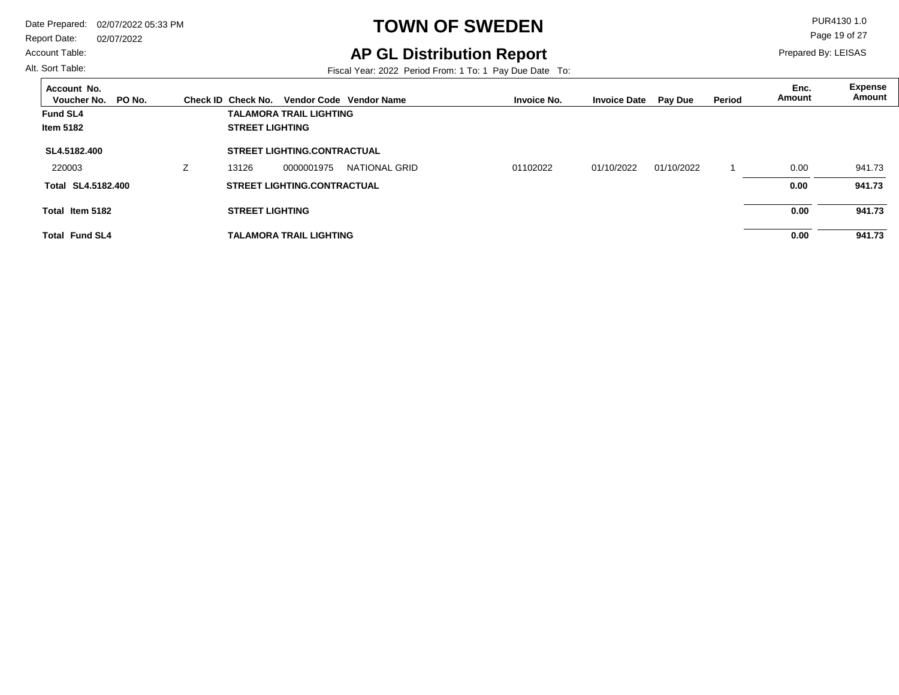#### Account Table:

Alt. Sort Table:

## **TOWN OF SWEDEN** PUR4130 1.0

### **AP GL Distribution Report**

Fiscal Year: 2022 Period From: 1 To: 1 Pay Due Date To:

Page 19 of 27

| Account No.<br>Voucher No.<br>PO No. | Check ID Check No.     |                                    | Vendor Code Vendor Name | <b>Invoice No.</b> | <b>Invoice Date</b> | <b>Pay Due</b> | Period | Enc.<br>Amount | <b>Expense</b><br>Amount |
|--------------------------------------|------------------------|------------------------------------|-------------------------|--------------------|---------------------|----------------|--------|----------------|--------------------------|
| <b>Fund SL4</b>                      |                        | <b>TALAMORA TRAIL LIGHTING</b>     |                         |                    |                     |                |        |                |                          |
| <b>Item 5182</b>                     | <b>STREET LIGHTING</b> |                                    |                         |                    |                     |                |        |                |                          |
| SL4.5182.400                         |                        | <b>STREET LIGHTING.CONTRACTUAL</b> |                         |                    |                     |                |        |                |                          |
| 220003                               | 13126                  | 0000001975                         | NATIONAL GRID           | 01102022           | 01/10/2022          | 01/10/2022     |        | 0.00           | 941.73                   |
| Total SL4.5182.400                   |                        | <b>STREET LIGHTING.CONTRACTUAL</b> |                         |                    |                     |                |        | 0.00           | 941.73                   |
| Total Item 5182                      | <b>STREET LIGHTING</b> |                                    |                         |                    |                     |                |        | 0.00           | 941.73                   |
| <b>Total Fund SL4</b>                |                        | <b>TALAMORA TRAIL LIGHTING</b>     |                         |                    |                     |                |        | 0.00           | 941.73                   |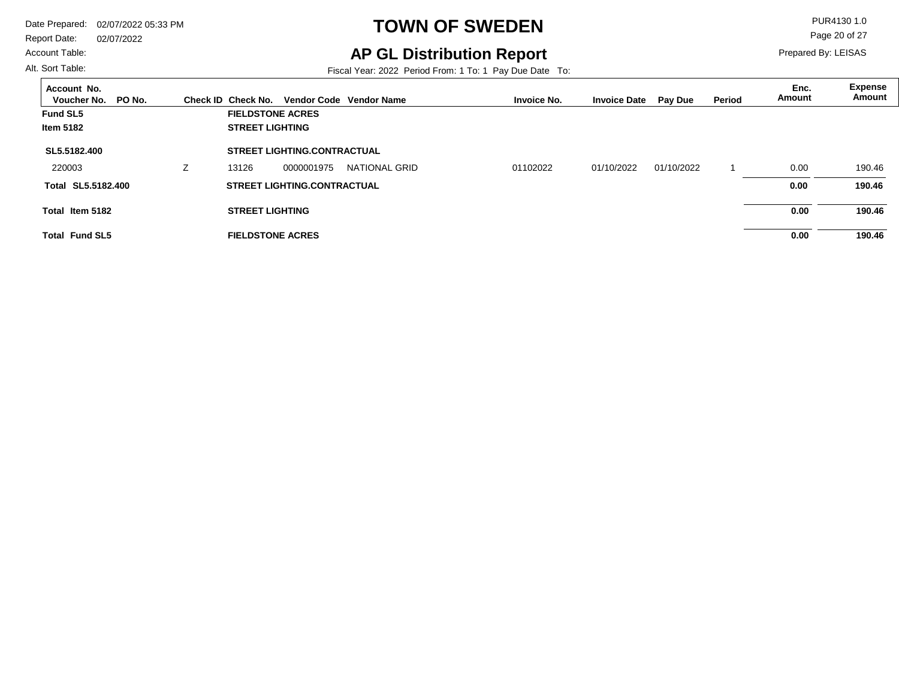Report Date: 02/07/2022

#### Account Table:

Alt. Sort Table:

## **TOWN OF SWEDEN** PUR4130 1.0

**AP GL Distribution Report**

Fiscal Year: 2022 Period From: 1 To: 1 Pay Due Date To:

Page 20 of 27

| Account No.<br>PO No.<br>Voucher No. | Check ID Check No.      |                                    | Vendor Code Vendor Name | <b>Invoice No.</b> | <b>Invoice Date</b> | Pay Due    | <b>Period</b> | Enc.<br>Amount | <b>Expense</b><br>Amount |
|--------------------------------------|-------------------------|------------------------------------|-------------------------|--------------------|---------------------|------------|---------------|----------------|--------------------------|
| <b>Fund SL5</b>                      | <b>FIELDSTONE ACRES</b> |                                    |                         |                    |                     |            |               |                |                          |
| Item 5182                            | <b>STREET LIGHTING</b>  |                                    |                         |                    |                     |            |               |                |                          |
| SL5.5182.400                         |                         | <b>STREET LIGHTING.CONTRACTUAL</b> |                         |                    |                     |            |               |                |                          |
| 220003                               | 13126                   | 0000001975                         | NATIONAL GRID           | 01102022           | 01/10/2022          | 01/10/2022 |               | 0.00           | 190.46                   |
| Total SL5.5182.400                   |                         | <b>STREET LIGHTING.CONTRACTUAL</b> |                         |                    |                     |            |               | 0.00           | 190.46                   |
| Total Item 5182                      | <b>STREET LIGHTING</b>  |                                    |                         |                    |                     |            |               | 0.00           | 190.46                   |
| <b>Total Fund SL5</b>                | <b>FIELDSTONE ACRES</b> |                                    |                         |                    |                     |            |               | 0.00           | 190.46                   |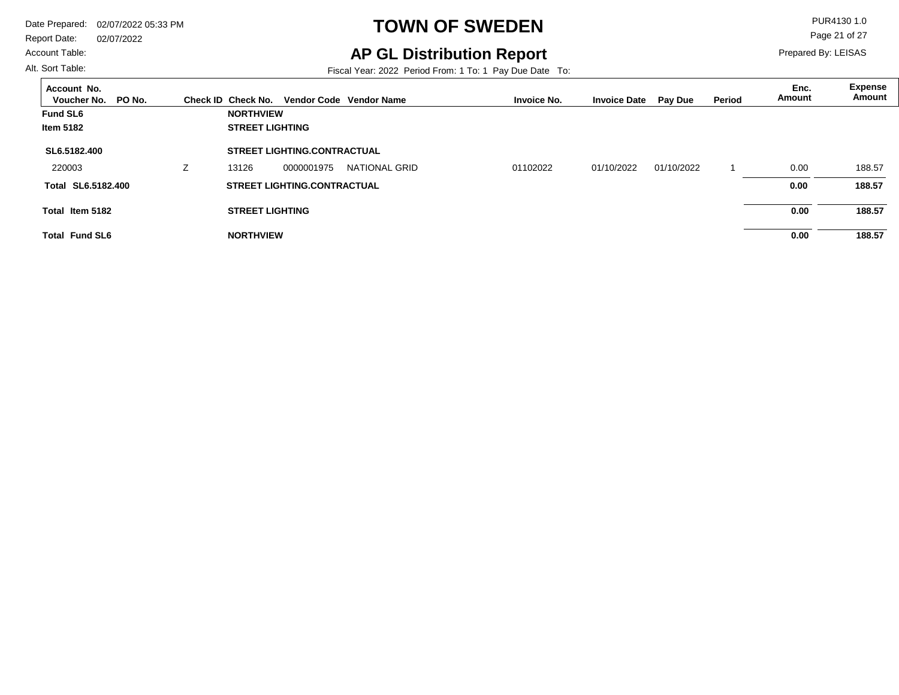#### Account Table:

Alt. Sort Table:

## **TOWN OF SWEDEN** PUR4130 1.0

**AP GL Distribution Report**

Fiscal Year: 2022 Period From: 1 To: 1 Pay Due Date To:

Page 21 of 27

| Account No.<br>PO No.<br>Voucher No. |   | Check ID Check No.     |                                    | Vendor Code Vendor Name | <b>Invoice No.</b> | <b>Invoice Date</b> | <b>Pay Due</b> | <b>Period</b> | Enc.<br>Amount | <b>Expense</b><br>Amount |
|--------------------------------------|---|------------------------|------------------------------------|-------------------------|--------------------|---------------------|----------------|---------------|----------------|--------------------------|
| <b>Fund SL6</b>                      |   | <b>NORTHVIEW</b>       |                                    |                         |                    |                     |                |               |                |                          |
| <b>Item 5182</b>                     |   | <b>STREET LIGHTING</b> |                                    |                         |                    |                     |                |               |                |                          |
| SL6.5182.400                         |   |                        | <b>STREET LIGHTING.CONTRACTUAL</b> |                         |                    |                     |                |               |                |                          |
| 220003                               | Z | 13126                  | 0000001975                         | <b>NATIONAL GRID</b>    | 01102022           | 01/10/2022          | 01/10/2022     |               | 0.00           | 188.57                   |
| Total SL6.5182.400                   |   |                        | <b>STREET LIGHTING.CONTRACTUAL</b> |                         |                    |                     |                |               | 0.00           | 188.57                   |
| Total Item 5182                      |   | <b>STREET LIGHTING</b> |                                    |                         |                    |                     |                |               | 0.00           | 188.57                   |
| <b>Total Fund SL6</b>                |   | <b>NORTHVIEW</b>       |                                    |                         |                    |                     |                |               | 0.00           | 188.57                   |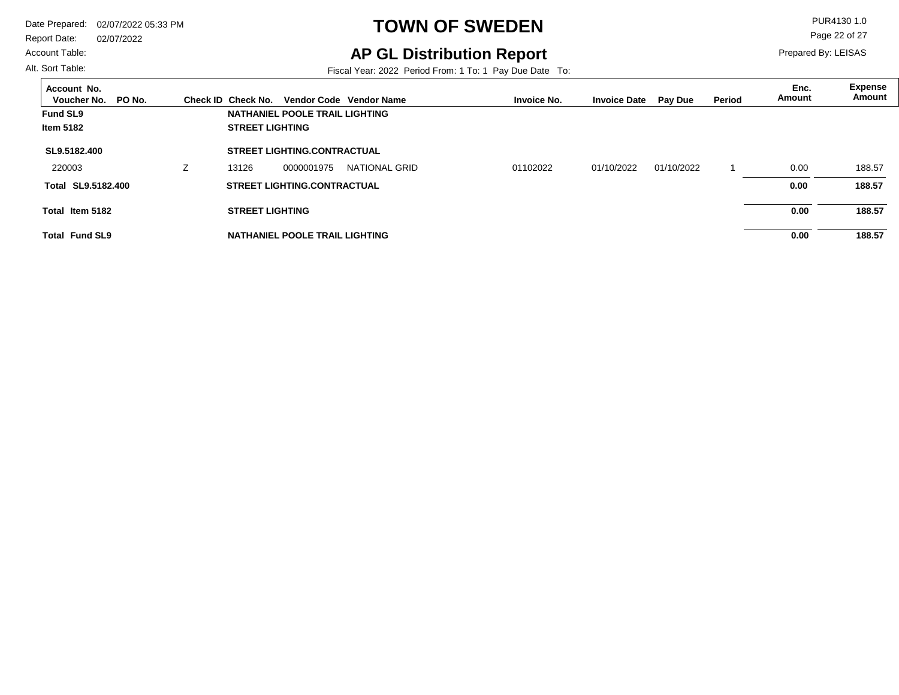#### Account Table:

Alt. Sort Table:

## **TOWN OF SWEDEN** PUR4130 1.0

### **AP GL Distribution Report**

Fiscal Year: 2022 Period From: 1 To: 1 Pay Due Date To:

Page 22 of 27

| Account No.<br>PO No.<br>Voucher No. |                          | Check ID Check No.     |                                    | Vendor Code Vendor Name | <b>Invoice No.</b> | <b>Invoice Date</b> | Pay Due    | Period | Enc.<br>Amount | <b>Expense</b><br>Amount |
|--------------------------------------|--------------------------|------------------------|------------------------------------|-------------------------|--------------------|---------------------|------------|--------|----------------|--------------------------|
| <b>Fund SL9</b>                      |                          |                        | NATHANIEL POOLE TRAIL LIGHTING     |                         |                    |                     |            |        |                |                          |
| <b>Item 5182</b>                     |                          | <b>STREET LIGHTING</b> |                                    |                         |                    |                     |            |        |                |                          |
| SL9.5182.400                         |                          |                        | <b>STREET LIGHTING.CONTRACTUAL</b> |                         |                    |                     |            |        |                |                          |
| 220003                               | $\overline{\phantom{a}}$ | 13126                  | 0000001975                         | NATIONAL GRID           | 01102022           | 01/10/2022          | 01/10/2022 |        | 0.00           | 188.57                   |
| Total SL9.5182.400                   |                          |                        | <b>STREET LIGHTING.CONTRACTUAL</b> |                         |                    |                     |            |        | 0.00           | 188.57                   |
| Total Item 5182                      |                          | <b>STREET LIGHTING</b> |                                    |                         |                    |                     |            |        | 0.00           | 188.57                   |
| <b>Total Fund SL9</b>                |                          |                        | NATHANIEL POOLE TRAIL LIGHTING     |                         |                    |                     |            |        | 0.00           | 188.57                   |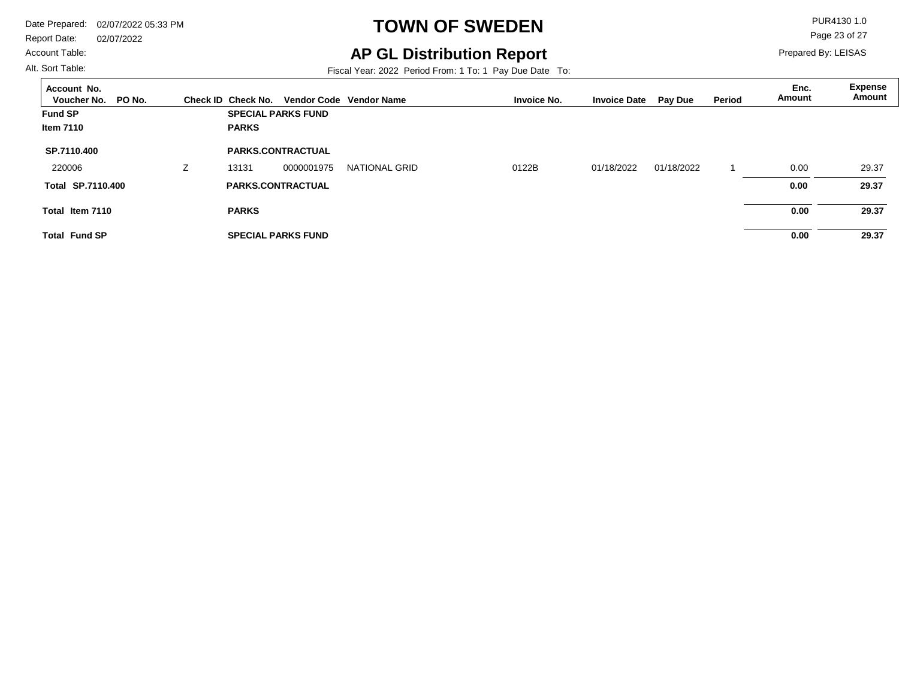Report Date: 02/07/2022 Account Table:

## **TOWN OF SWEDEN** PUR4130 1.0

**AP GL Distribution Report**

Fiscal Year: 2022 Period From: 1 To: 1 Pay Due Date To:

Page 23 of 27

Prepared By: LEISAS

| Account No.<br>Voucher No.<br>PO No. |   | Check ID Check No. |                           | Vendor Code Vendor Name | <b>Invoice No.</b> | <b>Invoice Date</b> | <b>Pay Due</b> | Period | Enc.<br><b>Amount</b> | <b>Expense</b><br>Amount |
|--------------------------------------|---|--------------------|---------------------------|-------------------------|--------------------|---------------------|----------------|--------|-----------------------|--------------------------|
| <b>Fund SP</b>                       |   |                    | <b>SPECIAL PARKS FUND</b> |                         |                    |                     |                |        |                       |                          |
| <b>Item 7110</b>                     |   | <b>PARKS</b>       |                           |                         |                    |                     |                |        |                       |                          |
| SP.7110.400                          |   |                    | <b>PARKS.CONTRACTUAL</b>  |                         |                    |                     |                |        |                       |                          |
| 220006                               | Z | 13131              | 0000001975                | <b>NATIONAL GRID</b>    | 0122B              | 01/18/2022          | 01/18/2022     |        | 0.00                  | 29.37                    |
| <b>Total SP.7110.400</b>             |   |                    | <b>PARKS.CONTRACTUAL</b>  |                         |                    |                     |                |        | 0.00                  | 29.37                    |
| Total Item 7110                      |   | <b>PARKS</b>       |                           |                         |                    |                     |                |        | 0.00                  | 29.37                    |
| <b>Total Fund SP</b>                 |   |                    | <b>SPECIAL PARKS FUND</b> |                         |                    |                     |                |        | 0.00                  | 29.37                    |

Alt. Sort Table: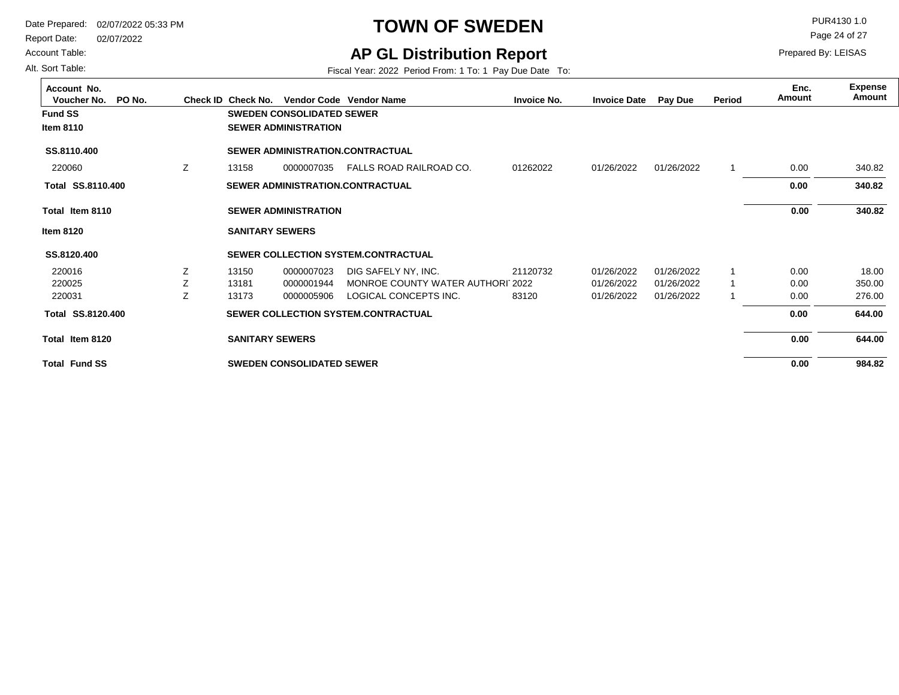Report Date: 02/07/2022

Account Table:

#### Alt. Sort Table:

## **TOWN OF SWEDEN** PUR4130 1.0

**AP GL Distribution Report**

Fiscal Year: 2022 Period From: 1 To: 1 Pay Due Date To:

Page 24 of 27

| Account No.<br>Voucher No.<br>PO No. |    | Check ID Check No.     |                                  | Vendor Code Vendor Name                    | <b>Invoice No.</b> | <b>Invoice Date</b> | <b>Pay Due</b> | Period | Enc.<br>Amount | <b>Expense</b><br>Amount |
|--------------------------------------|----|------------------------|----------------------------------|--------------------------------------------|--------------------|---------------------|----------------|--------|----------------|--------------------------|
| <b>Fund SS</b>                       |    |                        | <b>SWEDEN CONSOLIDATED SEWER</b> |                                            |                    |                     |                |        |                |                          |
| Item 8110                            |    |                        | <b>SEWER ADMINISTRATION</b>      |                                            |                    |                     |                |        |                |                          |
| SS.8110,400                          |    |                        |                                  | SEWER ADMINISTRATION.CONTRACTUAL           |                    |                     |                |        |                |                          |
| 220060                               | Z  | 13158                  | 0000007035                       | FALLS ROAD RAILROAD CO.                    | 01262022           | 01/26/2022          | 01/26/2022     | -1     | 0.00           | 340.82                   |
| Total SS.8110.400                    |    |                        |                                  | SEWER ADMINISTRATION.CONTRACTUAL           |                    |                     |                |        | 0.00           | 340.82                   |
| Total Item 8110                      |    |                        | <b>SEWER ADMINISTRATION</b>      |                                            |                    |                     |                |        | 0.00           | 340.82                   |
| Item 8120                            |    | <b>SANITARY SEWERS</b> |                                  |                                            |                    |                     |                |        |                |                          |
| SS.8120.400                          |    |                        |                                  | SEWER COLLECTION SYSTEM.CONTRACTUAL        |                    |                     |                |        |                |                          |
| 220016                               | Ζ  | 13150                  | 0000007023                       | DIG SAFELY NY, INC.                        | 21120732           | 01/26/2022          | 01/26/2022     |        | 0.00           | 18.00                    |
| 220025                               | Z  | 13181                  | 0000001944                       | MONROE COUNTY WATER AUTHORI 2022           |                    | 01/26/2022          | 01/26/2022     |        | 0.00           | 350.00                   |
| 220031                               | Z. | 13173                  | 0000005906                       | LOGICAL CONCEPTS INC.                      | 83120              | 01/26/2022          | 01/26/2022     |        | 0.00           | 276.00                   |
| Total SS.8120.400                    |    |                        |                                  | <b>SEWER COLLECTION SYSTEM.CONTRACTUAL</b> |                    |                     |                |        | 0.00           | 644.00                   |
| Total Item 8120                      |    | <b>SANITARY SEWERS</b> |                                  |                                            |                    |                     |                |        | 0.00           | 644.00                   |
| <b>Total Fund SS</b>                 |    |                        | <b>SWEDEN CONSOLIDATED SEWER</b> |                                            |                    |                     |                |        | 0.00           | 984.82                   |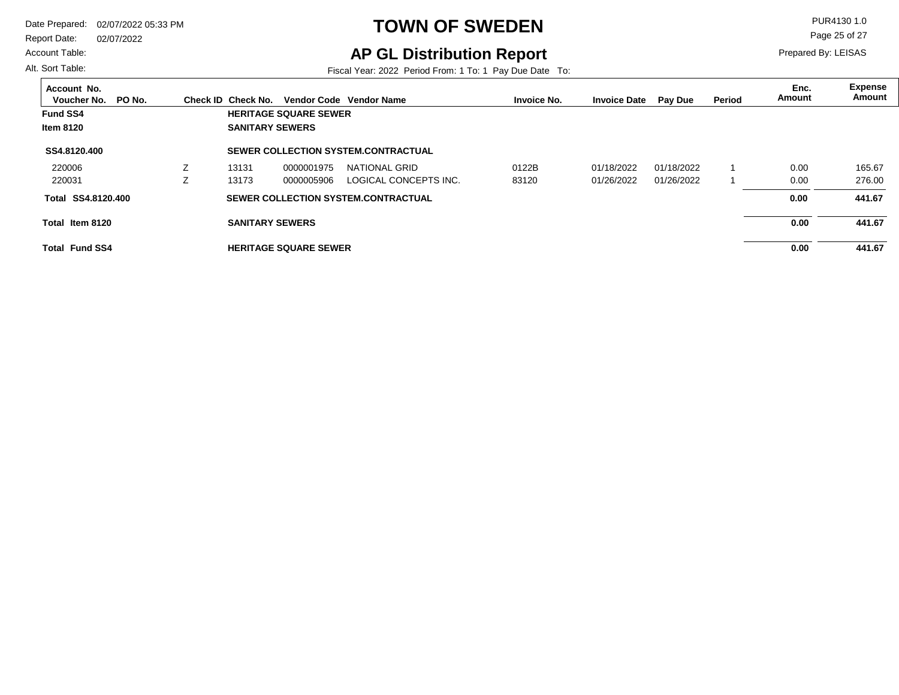Report Date: 02/07/2022

#### Account Table:

Alt. Sort Table:

## **TOWN OF SWEDEN** PUR4130 1.0

**AP GL Distribution Report**

Fiscal Year: 2022 Period From: 1 To: 1 Pay Due Date To:

Page 25 of 27

| Account No.<br>PO No.<br>Voucher No. | Check ID Check No.     |                              | Vendor Code Vendor Name             | <b>Invoice No.</b> | <b>Invoice Date</b> | Pay Due    | Period | Enc.<br>Amount | Expense<br>Amount |
|--------------------------------------|------------------------|------------------------------|-------------------------------------|--------------------|---------------------|------------|--------|----------------|-------------------|
| <b>Fund SS4</b>                      |                        | <b>HERITAGE SQUARE SEWER</b> |                                     |                    |                     |            |        |                |                   |
| <b>Item 8120</b>                     | <b>SANITARY SEWERS</b> |                              |                                     |                    |                     |            |        |                |                   |
| SS4.8120.400                         |                        |                              | SEWER COLLECTION SYSTEM.CONTRACTUAL |                    |                     |            |        |                |                   |
| 220006                               | 13131                  | 0000001975                   | NATIONAL GRID                       | 0122B              | 01/18/2022          | 01/18/2022 |        | 0.00           | 165.67            |
| 220031                               | 13173                  | 0000005906                   | LOGICAL CONCEPTS INC.               | 83120              | 01/26/2022          | 01/26/2022 |        | 0.00           | 276.00            |
| Total SS4.8120.400                   |                        |                              | SEWER COLLECTION SYSTEM.CONTRACTUAL |                    |                     |            |        | 0.00           | 441.67            |
| Total Item 8120                      | <b>SANITARY SEWERS</b> |                              |                                     |                    |                     |            |        | 0.00           | 441.67            |
| <b>Total Fund SS4</b>                |                        | <b>HERITAGE SQUARE SEWER</b> |                                     |                    |                     |            |        | 0.00           | 441.67            |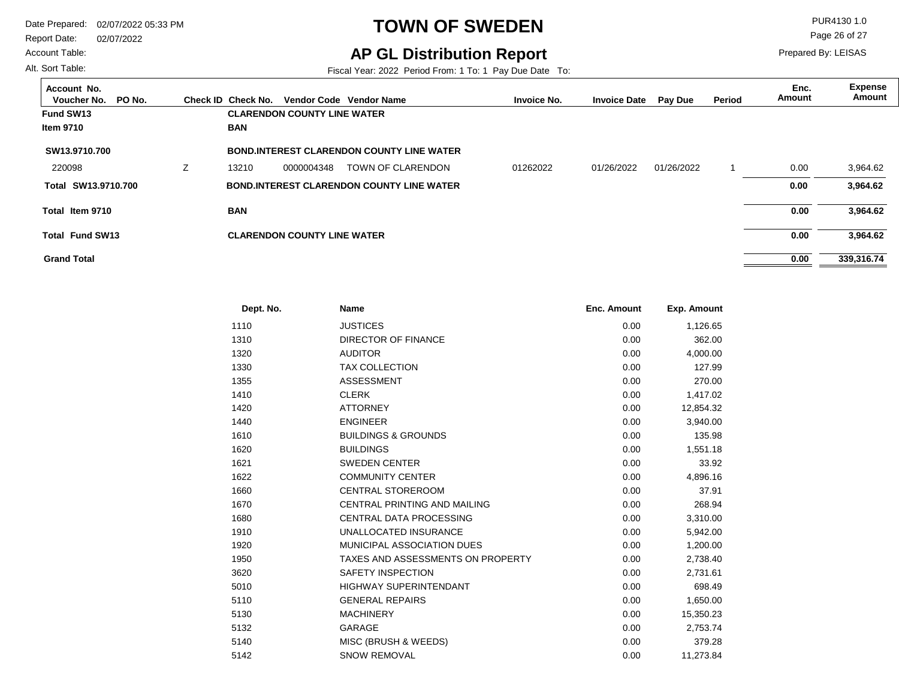Account Table:

Alt. Sort Table:

# **TOWN OF SWEDEN** PUR4130 1.0

### **AP GL Distribution Report**

Fiscal Year: 2022 Period From: 1 To: 1 Pay Due Date To:

Page 26 of 27

| Account No.<br>Voucher No.<br>PO No. |   | Check ID Check No. |                                    | Vendor Code Vendor Name                          | <b>Invoice No.</b> | <b>Invoice Date</b> | <b>Pay Due</b> | Period | Enc.<br>Amount | <b>Expense</b><br>Amount |
|--------------------------------------|---|--------------------|------------------------------------|--------------------------------------------------|--------------------|---------------------|----------------|--------|----------------|--------------------------|
| Fund SW13                            |   |                    | <b>CLARENDON COUNTY LINE WATER</b> |                                                  |                    |                     |                |        |                |                          |
| <b>Item 9710</b>                     |   | <b>BAN</b>         |                                    |                                                  |                    |                     |                |        |                |                          |
| SW13.9710.700                        |   |                    |                                    | <b>BOND INTEREST CLARENDON COUNTY LINE WATER</b> |                    |                     |                |        |                |                          |
| 220098                               | Ζ | 13210              | 0000004348                         | TOWN OF CLARENDON                                | 01262022           | 01/26/2022          | 01/26/2022     |        | 0.00           | 3,964.62                 |
| Total SW13.9710.700                  |   |                    |                                    | <b>BOND.INTEREST CLARENDON COUNTY LINE WATER</b> |                    |                     |                |        | 0.00           | 3,964.62                 |
| Total Item 9710                      |   | <b>BAN</b>         |                                    |                                                  |                    |                     |                |        | 0.00           | 3,964.62                 |
| <b>Total Fund SW13</b>               |   |                    | <b>CLARENDON COUNTY LINE WATER</b> |                                                  |                    |                     |                |        | 0.00           | 3,964.62                 |
| <b>Grand Total</b>                   |   |                    |                                    |                                                  |                    |                     |                |        | 0.00           | 339,316.74               |

| Dept. No. | <b>Name</b>                         | <b>Enc. Amount</b> | <b>Exp. Amount</b> |  |
|-----------|-------------------------------------|--------------------|--------------------|--|
| 1110      | <b>JUSTICES</b>                     | 0.00               | 1,126.65           |  |
| 1310      | <b>DIRECTOR OF FINANCE</b>          | 0.00               | 362.00             |  |
| 1320      | <b>AUDITOR</b>                      | 0.00               | 4,000.00           |  |
| 1330      | <b>TAX COLLECTION</b>               | 0.00               | 127.99             |  |
| 1355      | <b>ASSESSMENT</b>                   | 0.00               | 270.00             |  |
| 1410      | <b>CLERK</b>                        | 0.00               | 1,417.02           |  |
| 1420      | <b>ATTORNEY</b>                     | 0.00               | 12,854.32          |  |
| 1440      | <b>ENGINEER</b>                     | 0.00               | 3,940.00           |  |
| 1610      | <b>BUILDINGS &amp; GROUNDS</b>      | 0.00               | 135.98             |  |
| 1620      | <b>BUILDINGS</b>                    | 0.00               | 1,551.18           |  |
| 1621      | <b>SWEDEN CENTER</b>                | 0.00               | 33.92              |  |
| 1622      | <b>COMMUNITY CENTER</b>             | 0.00               | 4,896.16           |  |
| 1660      | <b>CENTRAL STOREROOM</b>            | 0.00               | 37.91              |  |
| 1670      | <b>CENTRAL PRINTING AND MAILING</b> | 0.00               | 268.94             |  |
| 1680      | <b>CENTRAL DATA PROCESSING</b>      | 0.00               | 3,310.00           |  |
| 1910      | UNALLOCATED INSURANCE               | 0.00               | 5,942.00           |  |
| 1920      | MUNICIPAL ASSOCIATION DUES          | 0.00               | 1,200.00           |  |
| 1950      | TAXES AND ASSESSMENTS ON PROPERTY   | 0.00               | 2,738.40           |  |
| 3620      | SAFETY INSPECTION                   | 0.00               | 2,731.61           |  |
| 5010      | <b>HIGHWAY SUPERINTENDANT</b>       | 0.00               | 698.49             |  |
| 5110      | <b>GENERAL REPAIRS</b>              | 0.00               | 1,650.00           |  |
| 5130      | <b>MACHINERY</b>                    | 0.00               | 15,350.23          |  |
| 5132      | <b>GARAGE</b>                       | 0.00               | 2,753.74           |  |
| 5140      | MISC (BRUSH & WEEDS)                | 0.00               | 379.28             |  |
| 5142      | <b>SNOW REMOVAL</b>                 | 0.00               | 11.273.84          |  |